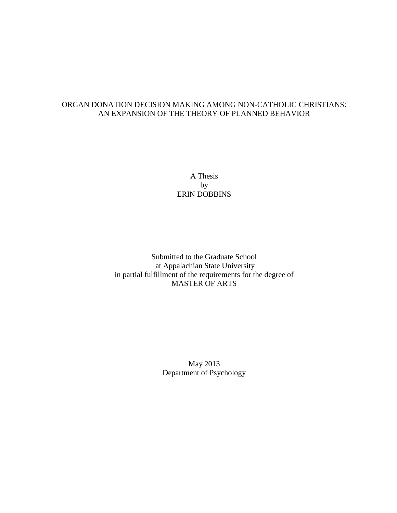### ORGAN DONATION DECISION MAKING AMONG NON-CATHOLIC CHRISTIANS: AN EXPANSION OF THE THEORY OF PLANNED BEHAVIOR

A Thesis by ERIN DOBBINS

Submitted to the Graduate School at Appalachian State University in partial fulfillment of the requirements for the degree of MASTER OF ARTS

> May 2013 Department of Psychology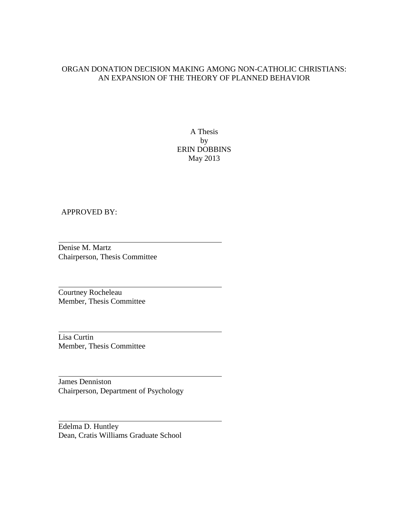### ORGAN DONATION DECISION MAKING AMONG NON-CATHOLIC CHRISTIANS: AN EXPANSION OF THE THEORY OF PLANNED BEHAVIOR

A Thesis by ERIN DOBBINS May 2013

### APPROVED BY:

Denise M. Martz Chairperson, Thesis Committee

Courtney Rocheleau Member, Thesis Committee

Lisa Curtin Member, Thesis Committee

James Denniston Chairperson, Department of Psychology

Edelma D. Huntley Dean, Cratis Williams Graduate School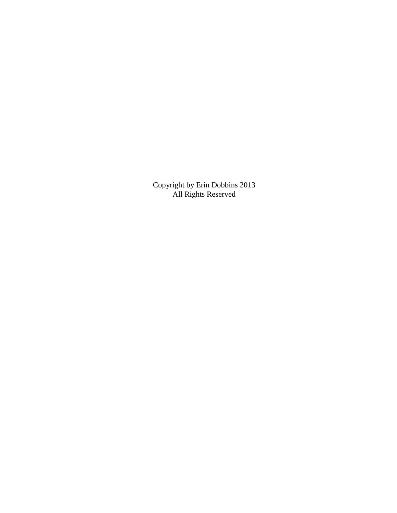Copyright by Erin Dobbins 2013 All Rights Reserved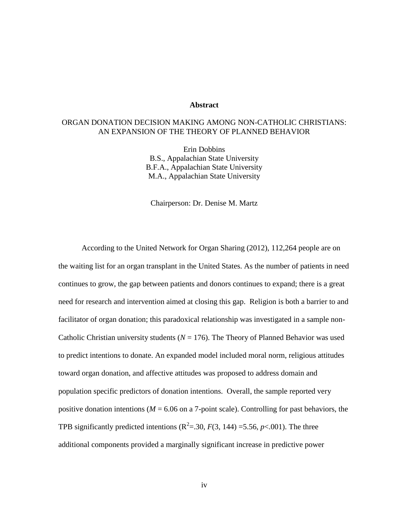### **Abstract**

### ORGAN DONATION DECISION MAKING AMONG NON-CATHOLIC CHRISTIANS: AN EXPANSION OF THE THEORY OF PLANNED BEHAVIOR

Erin Dobbins B.S., Appalachian State University B.F.A., Appalachian State University M.A., Appalachian State University

Chairperson: Dr. Denise M. Martz

According to the United Network for Organ Sharing (2012), 112,264 people are on the waiting list for an organ transplant in the United States. As the number of patients in need continues to grow, the gap between patients and donors continues to expand; there is a great need for research and intervention aimed at closing this gap. Religion is both a barrier to and facilitator of organ donation; this paradoxical relationship was investigated in a sample non-Catholic Christian university students ( $N = 176$ ). The Theory of Planned Behavior was used to predict intentions to donate. An expanded model included moral norm, religious attitudes toward organ donation, and affective attitudes was proposed to address domain and population specific predictors of donation intentions. Overall, the sample reported very positive donation intentions ( $M = 6.06$  on a 7-point scale). Controlling for past behaviors, the TPB significantly predicted intentions  $(R^2 = .30, F(3, 144) = 5.56, p < .001)$ . The three additional components provided a marginally significant increase in predictive power

iv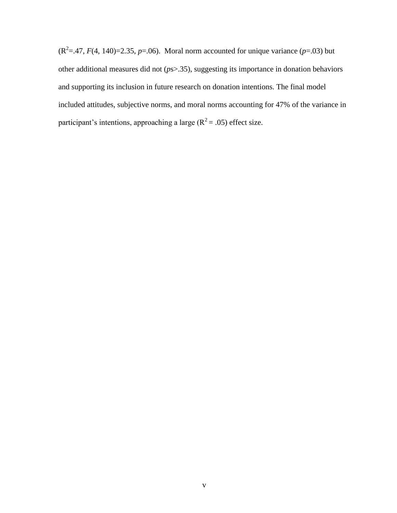$(R^2 = .47, F(4, 140) = 2.35, p = .06)$ . Moral norm accounted for unique variance ( $p = .03$ ) but other additional measures did not (*p*s>.35), suggesting its importance in donation behaviors and supporting its inclusion in future research on donation intentions. The final model included attitudes, subjective norms, and moral norms accounting for 47% of the variance in participant's intentions, approaching a large  $(R^2 = .05)$  effect size.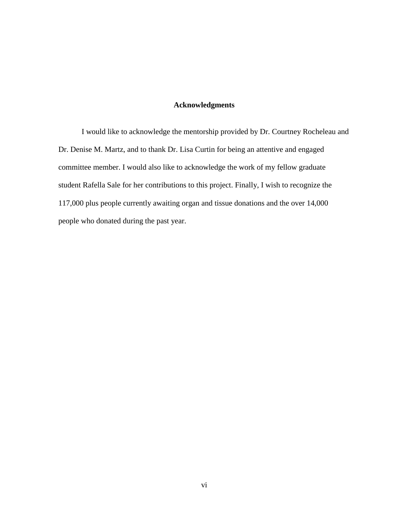### **Acknowledgments**

I would like to acknowledge the mentorship provided by Dr. Courtney Rocheleau and Dr. Denise M. Martz, and to thank Dr. Lisa Curtin for being an attentive and engaged committee member. I would also like to acknowledge the work of my fellow graduate student Rafella Sale for her contributions to this project. Finally, I wish to recognize the 117,000 plus people currently awaiting organ and tissue donations and the over 14,000 people who donated during the past year.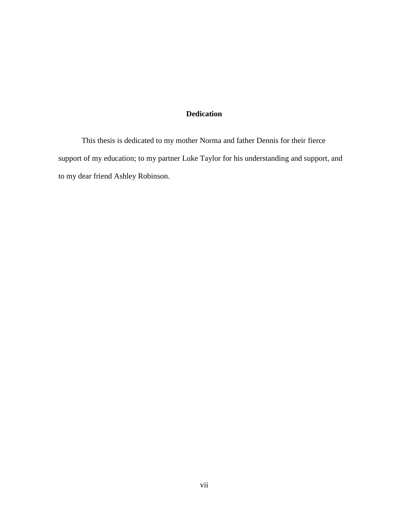### **Dedication**

This thesis is dedicated to my mother Norma and father Dennis for their fierce support of my education; to my partner Luke Taylor for his understanding and support, and to my dear friend Ashley Robinson.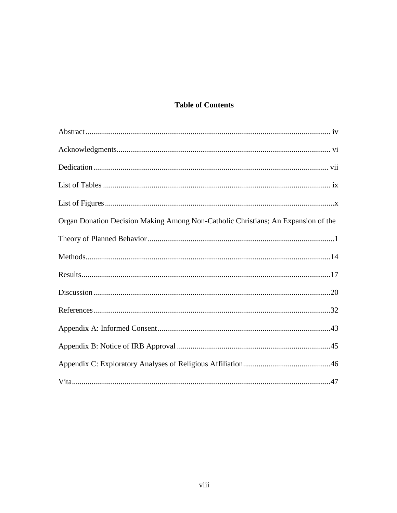# **Table of Contents**

| Organ Donation Decision Making Among Non-Catholic Christians; An Expansion of the |  |
|-----------------------------------------------------------------------------------|--|
|                                                                                   |  |
|                                                                                   |  |
|                                                                                   |  |
|                                                                                   |  |
|                                                                                   |  |
|                                                                                   |  |
|                                                                                   |  |
|                                                                                   |  |
|                                                                                   |  |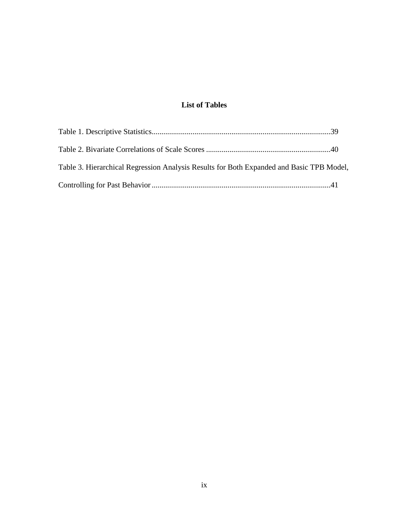# **List of Tables**

| Table 3. Hierarchical Regression Analysis Results for Both Expanded and Basic TPB Model, |  |
|------------------------------------------------------------------------------------------|--|
|                                                                                          |  |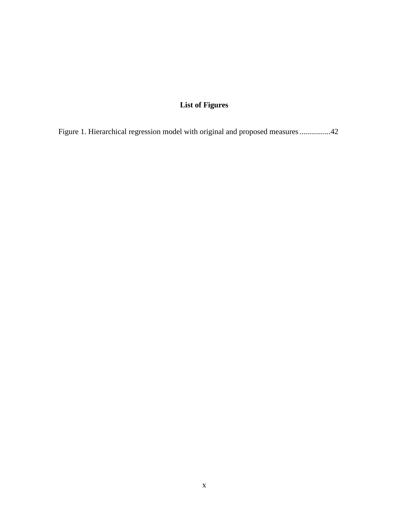# **List of Figures**

Figure 1. Hierarchical regression model with original and proposed measures................42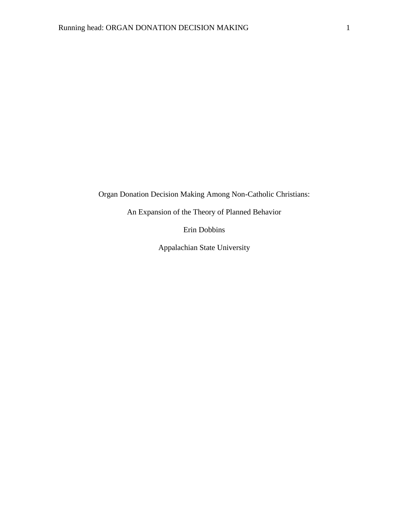Organ Donation Decision Making Among Non-Catholic Christians:

An Expansion of the Theory of Planned Behavior

Erin Dobbins

Appalachian State University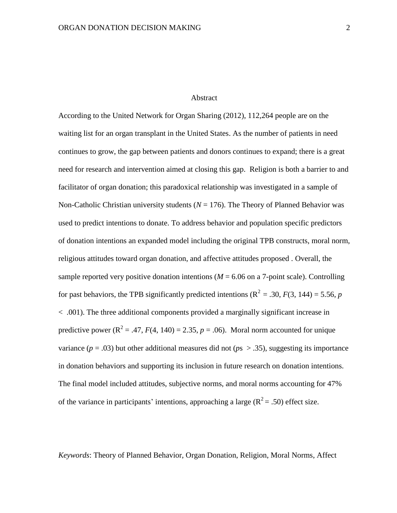### Abstract

According to the United Network for Organ Sharing (2012), 112,264 people are on the waiting list for an organ transplant in the United States. As the number of patients in need continues to grow, the gap between patients and donors continues to expand; there is a great need for research and intervention aimed at closing this gap. Religion is both a barrier to and facilitator of organ donation; this paradoxical relationship was investigated in a sample of Non-Catholic Christian university students  $(N = 176)$ . The Theory of Planned Behavior was used to predict intentions to donate. To address behavior and population specific predictors of donation intentions an expanded model including the original TPB constructs, moral norm, religious attitudes toward organ donation, and affective attitudes proposed . Overall, the sample reported very positive donation intentions ( $M = 6.06$  on a 7-point scale). Controlling for past behaviors, the TPB significantly predicted intentions ( $\mathbb{R}^2 = .30$ ,  $F(3, 144) = 5.56$ , *p* < .001). The three additional components provided a marginally significant increase in predictive power ( $\mathbb{R}^2 = .47$ ,  $F(4, 140) = 2.35$ ,  $p = .06$ ). Moral norm accounted for unique variance  $(p = .03)$  but other additional measures did not  $(ps > .35)$ , suggesting its importance in donation behaviors and supporting its inclusion in future research on donation intentions. The final model included attitudes, subjective norms, and moral norms accounting for 47% of the variance in participants' intentions, approaching a large ( $R^2 = .50$ ) effect size.

*Keywords*: Theory of Planned Behavior, Organ Donation, Religion, Moral Norms, Affect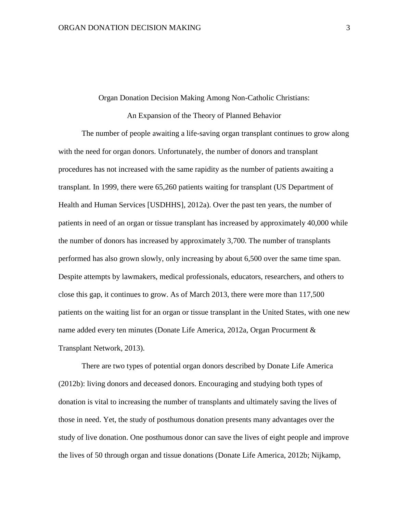#### Organ Donation Decision Making Among Non-Catholic Christians:

### An Expansion of the Theory of Planned Behavior

The number of people awaiting a life-saving organ transplant continues to grow along with the need for organ donors. Unfortunately, the number of donors and transplant procedures has not increased with the same rapidity as the number of patients awaiting a transplant. In 1999, there were 65,260 patients waiting for transplant (US Department of Health and Human Services [USDHHS], 2012a). Over the past ten years, the number of patients in need of an organ or tissue transplant has increased by approximately 40,000 while the number of donors has increased by approximately 3,700. The number of transplants performed has also grown slowly, only increasing by about 6,500 over the same time span. Despite attempts by lawmakers, medical professionals, educators, researchers, and others to close this gap, it continues to grow. As of March 2013, there were more than 117,500 patients on the waiting list for an organ or tissue transplant in the United States, with one new name added every ten minutes (Donate Life America, 2012a, Organ Procurment & Transplant Network, 2013).

There are two types of potential organ donors described by Donate Life America (2012b): living donors and deceased donors. Encouraging and studying both types of donation is vital to increasing the number of transplants and ultimately saving the lives of those in need. Yet, the study of posthumous donation presents many advantages over the study of live donation. One posthumous donor can save the lives of eight people and improve the lives of 50 through organ and tissue donations (Donate Life America, 2012b; Nijkamp,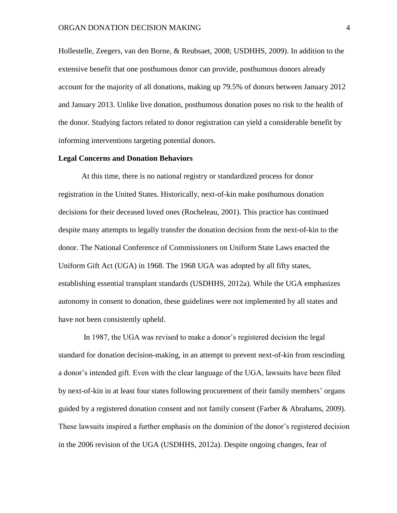Hollestelle, Zeegers, van den Borne, & Reubsaet, 2008; USDHHS, 2009). In addition to the extensive benefit that one posthumous donor can provide, posthumous donors already account for the majority of all donations, making up 79.5% of donors between January 2012 and January 2013. Unlike live donation, posthumous donation poses no risk to the health of the donor. Studying factors related to donor registration can yield a considerable benefit by informing interventions targeting potential donors.

### **Legal Concerns and Donation Behaviors**

At this time, there is no national registry or standardized process for donor registration in the United States. Historically, next-of-kin make posthumous donation decisions for their deceased loved ones (Rocheleau, 2001). This practice has continued despite many attempts to legally transfer the donation decision from the next-of-kin to the donor. The National Conference of Commissioners on Uniform State Laws enacted the Uniform Gift Act (UGA) in 1968. The 1968 UGA was adopted by all fifty states, establishing essential transplant standards (USDHHS, 2012a). While the UGA emphasizes autonomy in consent to donation, these guidelines were not implemented by all states and have not been consistently upheld.

In 1987, the UGA was revised to make a donor's registered decision the legal standard for donation decision-making, in an attempt to prevent next-of-kin from rescinding a donor's intended gift. Even with the clear language of the UGA, lawsuits have been filed by next-of-kin in at least four states following procurement of their family members' organs guided by a registered donation consent and not family consent (Farber & Abrahams, 2009). These lawsuits inspired a further emphasis on the dominion of the donor's registered decision in the 2006 revision of the UGA (USDHHS, 2012a). Despite ongoing changes, fear of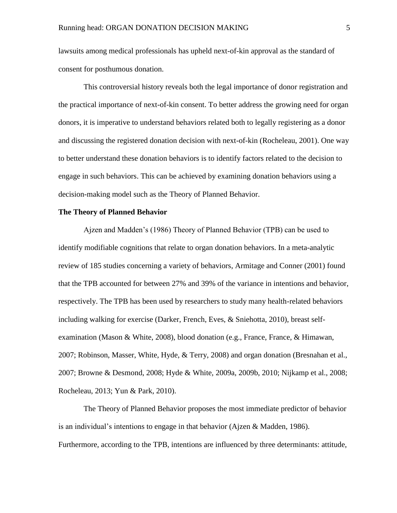lawsuits among medical professionals has upheld next-of-kin approval as the standard of consent for posthumous donation.

This controversial history reveals both the legal importance of donor registration and the practical importance of next-of-kin consent. To better address the growing need for organ donors, it is imperative to understand behaviors related both to legally registering as a donor and discussing the registered donation decision with next-of-kin (Rocheleau, 2001). One way to better understand these donation behaviors is to identify factors related to the decision to engage in such behaviors. This can be achieved by examining donation behaviors using a decision-making model such as the Theory of Planned Behavior.

### **The Theory of Planned Behavior**

Ajzen and Madden's (1986) Theory of Planned Behavior (TPB) can be used to identify modifiable cognitions that relate to organ donation behaviors. In a meta-analytic review of 185 studies concerning a variety of behaviors, Armitage and Conner (2001) found that the TPB accounted for between 27% and 39% of the variance in intentions and behavior, respectively. The TPB has been used by researchers to study many health-related behaviors including walking for exercise (Darker, French, Eves, & Sniehotta, 2010), breast selfexamination (Mason & White, 2008), blood donation (e.g., France, France, & Himawan, 2007; Robinson, Masser, White, Hyde, & Terry, 2008) and organ donation (Bresnahan et al., 2007; Browne & Desmond, 2008; Hyde & White, 2009a, 2009b, 2010; Nijkamp et al., 2008; Rocheleau, 2013; Yun & Park, 2010).

The Theory of Planned Behavior proposes the most immediate predictor of behavior is an individual's intentions to engage in that behavior (Ajzen & Madden, 1986). Furthermore, according to the TPB, intentions are influenced by three determinants: attitude,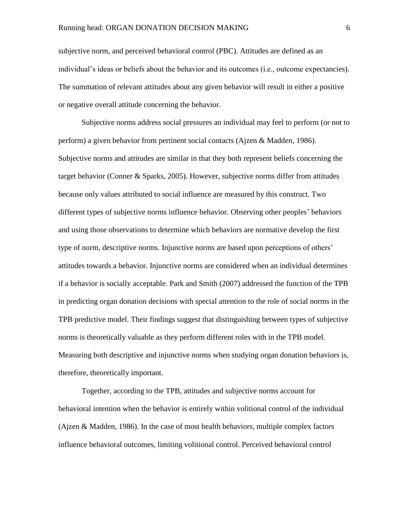subjective norm, and perceived behavioral control (PBC). Attitudes are defined as an individual's ideas or beliefs about the behavior and its outcomes (i.e., outcome expectancies). The summation of relevant attitudes about any given behavior will result in either a positive or negative overall attitude concerning the behavior.

Subjective norms address social pressures an individual may feel to perform (or not to perform) a given behavior from pertinent social contacts (Ajzen & Madden, 1986). Subjective norms and attitudes are similar in that they both represent beliefs concerning the target behavior (Conner & Sparks, 2005). However, subjective norms differ from attitudes because only values attributed to social influence are measured by this construct. Two different types of subjective norms influence behavior. Observing other peoples' behaviors and using those observations to determine which behaviors are normative develop the first type of norm, descriptive norms. Injunctive norms are based upon perceptions of others' attitudes towards a behavior. Injunctive norms are considered when an individual determines if a behavior is socially acceptable. Park and Smith (2007) addressed the function of the TPB in predicting organ donation decisions with special attention to the role of social norms in the TPB predictive model. Their findings suggest that distinguishing between types of subjective norms is theoretically valuable as they perform different roles with in the TPB model. Measuring both descriptive and injunctive norms when studying organ donation behaviors is, therefore, theoretically important.

Together, according to the TPB, attitudes and subjective norms account for behavioral intention when the behavior is entirely within volitional control of the individual (Ajzen & Madden, 1986). In the case of most health behaviors, multiple complex factors influence behavioral outcomes, limiting volitional control. Perceived behavioral control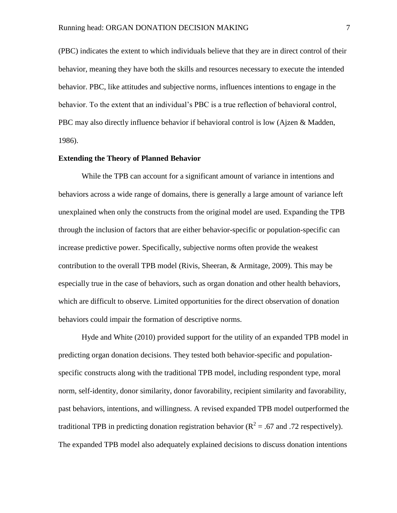(PBC) indicates the extent to which individuals believe that they are in direct control of their behavior, meaning they have both the skills and resources necessary to execute the intended behavior. PBC, like attitudes and subjective norms, influences intentions to engage in the behavior. To the extent that an individual's PBC is a true reflection of behavioral control, PBC may also directly influence behavior if behavioral control is low (Ajzen & Madden, 1986).

### **Extending the Theory of Planned Behavior**

While the TPB can account for a significant amount of variance in intentions and behaviors across a wide range of domains, there is generally a large amount of variance left unexplained when only the constructs from the original model are used. Expanding the TPB through the inclusion of factors that are either behavior-specific or population-specific can increase predictive power. Specifically, subjective norms often provide the weakest contribution to the overall TPB model (Rivis, Sheeran, & Armitage, 2009). This may be especially true in the case of behaviors, such as organ donation and other health behaviors, which are difficult to observe. Limited opportunities for the direct observation of donation behaviors could impair the formation of descriptive norms.

Hyde and White (2010) provided support for the utility of an expanded TPB model in predicting organ donation decisions. They tested both behavior-specific and populationspecific constructs along with the traditional TPB model, including respondent type, moral norm, self-identity, donor similarity, donor favorability, recipient similarity and favorability, past behaviors, intentions, and willingness. A revised expanded TPB model outperformed the traditional TPB in predicting donation registration behavior ( $R^2$  = .67 and .72 respectively). The expanded TPB model also adequately explained decisions to discuss donation intentions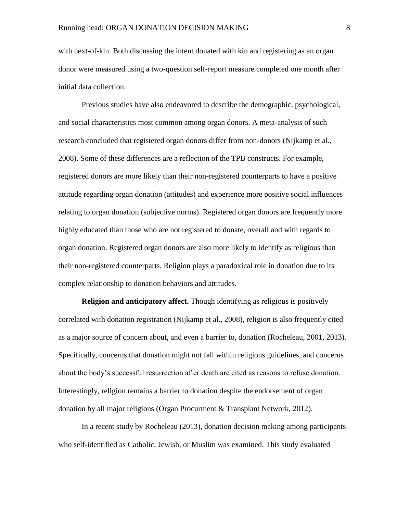with next-of-kin. Both discussing the intent donated with kin and registering as an organ donor were measured using a two-question self-report measure completed one month after initial data collection.

Previous studies have also endeavored to describe the demographic, psychological, and social characteristics most common among organ donors. A meta-analysis of such research concluded that registered organ donors differ from non-donors (Nijkamp et al., 2008). Some of these differences are a reflection of the TPB constructs. For example, registered donors are more likely than their non-registered counterparts to have a positive attitude regarding organ donation (attitudes) and experience more positive social influences relating to organ donation (subjective norms). Registered organ donors are frequently more highly educated than those who are not registered to donate, overall and with regards to organ donation. Registered organ donors are also more likely to identify as religious than their non-registered counterparts. Religion plays a paradoxical role in donation due to its complex relationship to donation behaviors and attitudes.

**Religion and anticipatory affect.** Though identifying as religious is positively correlated with donation registration (Nijkamp et al., 2008), religion is also frequently cited as a major source of concern about, and even a barrier to, donation (Rocheleau, 2001, 2013). Specifically, concerns that donation might not fall within religious guidelines, and concerns about the body's successful resurrection after death are cited as reasons to refuse donation. Interestingly, religion remains a barrier to donation despite the endorsement of organ donation by all major religions (Organ Procurment & Transplant Network, 2012).

In a recent study by Rocheleau (2013), donation decision making among participants who self-identified as Catholic, Jewish, or Muslim was examined. This study evaluated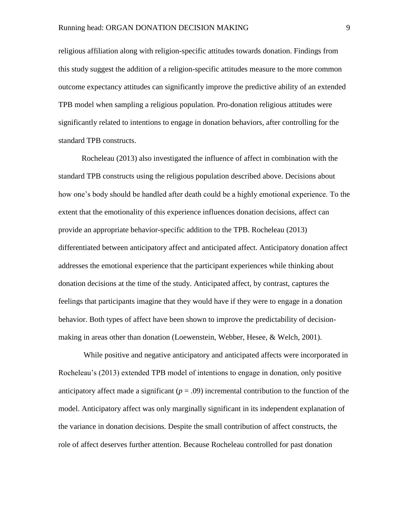religious affiliation along with religion-specific attitudes towards donation. Findings from this study suggest the addition of a religion-specific attitudes measure to the more common outcome expectancy attitudes can significantly improve the predictive ability of an extended TPB model when sampling a religious population. Pro-donation religious attitudes were significantly related to intentions to engage in donation behaviors, after controlling for the standard TPB constructs.

Rocheleau (2013) also investigated the influence of affect in combination with the standard TPB constructs using the religious population described above. Decisions about how one's body should be handled after death could be a highly emotional experience. To the extent that the emotionality of this experience influences donation decisions, affect can provide an appropriate behavior-specific addition to the TPB. Rocheleau (2013) differentiated between anticipatory affect and anticipated affect. Anticipatory donation affect addresses the emotional experience that the participant experiences while thinking about donation decisions at the time of the study. Anticipated affect, by contrast, captures the feelings that participants imagine that they would have if they were to engage in a donation behavior. Both types of affect have been shown to improve the predictability of decisionmaking in areas other than donation (Loewenstein, Webber, Hesee, & Welch, 2001).

While positive and negative anticipatory and anticipated affects were incorporated in Rocheleau's (2013) extended TPB model of intentions to engage in donation, only positive anticipatory affect made a significant  $(p = .09)$  incremental contribution to the function of the model. Anticipatory affect was only marginally significant in its independent explanation of the variance in donation decisions. Despite the small contribution of affect constructs, the role of affect deserves further attention. Because Rocheleau controlled for past donation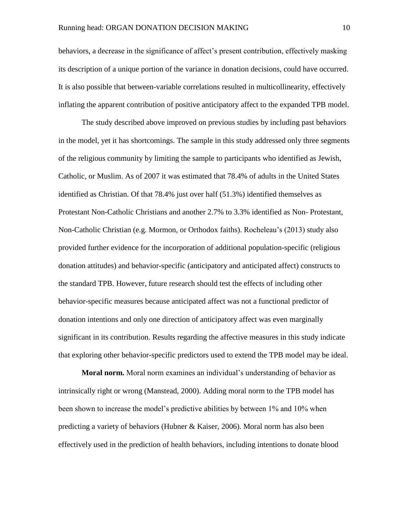behaviors, a decrease in the significance of affect's present contribution, effectively masking its description of a unique portion of the variance in donation decisions, could have occurred. It is also possible that between-variable correlations resulted in multicollinearity, effectively inflating the apparent contribution of positive anticipatory affect to the expanded TPB model.

The study described above improved on previous studies by including past behaviors in the model, yet it has shortcomings. The sample in this study addressed only three segments of the religious community by limiting the sample to participants who identified as Jewish, Catholic, or Muslim. As of 2007 it was estimated that 78.4% of adults in the United States identified as Christian. Of that 78.4% just over half (51.3%) identified themselves as Protestant Non-Catholic Christians and another 2.7% to 3.3% identified as Non- Protestant, Non-Catholic Christian (e.g. Mormon, or Orthodox faiths). Rocheleau's (2013) study also provided further evidence for the incorporation of additional population-specific (religious donation attitudes) and behavior-specific (anticipatory and anticipated affect) constructs to the standard TPB. However, future research should test the effects of including other behavior-specific measures because anticipated affect was not a functional predictor of donation intentions and only one direction of anticipatory affect was even marginally significant in its contribution. Results regarding the affective measures in this study indicate that exploring other behavior-specific predictors used to extend the TPB model may be ideal.

**Moral norm.** Moral norm examines an individual's understanding of behavior as intrinsically right or wrong (Manstead, 2000). Adding moral norm to the TPB model has been shown to increase the model's predictive abilities by between 1% and 10% when predicting a variety of behaviors (Hubner & Kaiser, 2006). Moral norm has also been effectively used in the prediction of health behaviors, including intentions to donate blood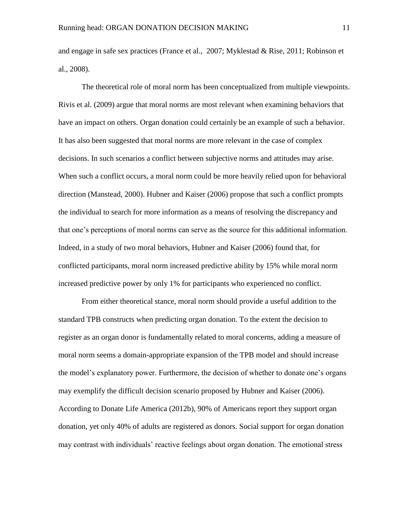and engage in safe sex practices (France et al., 2007; Myklestad & Rise, 2011; Robinson et al., 2008).

The theoretical role of moral norm has been conceptualized from multiple viewpoints. Rivis et al. (2009) argue that moral norms are most relevant when examining behaviors that have an impact on others. Organ donation could certainly be an example of such a behavior. It has also been suggested that moral norms are more relevant in the case of complex decisions. In such scenarios a conflict between subjective norms and attitudes may arise. When such a conflict occurs, a moral norm could be more heavily relied upon for behavioral direction (Manstead, 2000). Hubner and Kaiser (2006) propose that such a conflict prompts the individual to search for more information as a means of resolving the discrepancy and that one's perceptions of moral norms can serve as the source for this additional information. Indeed, in a study of two moral behaviors, Hubner and Kaiser (2006) found that, for conflicted participants, moral norm increased predictive ability by 15% while moral norm increased predictive power by only 1% for participants who experienced no conflict.

From either theoretical stance, moral norm should provide a useful addition to the standard TPB constructs when predicting organ donation. To the extent the decision to register as an organ donor is fundamentally related to moral concerns, adding a measure of moral norm seems a domain-appropriate expansion of the TPB model and should increase the model's explanatory power. Furthermore, the decision of whether to donate one's organs may exemplify the difficult decision scenario proposed by Hubner and Kaiser (2006). According to Donate Life America (2012b), 90% of Americans report they support organ donation, yet only 40% of adults are registered as donors. Social support for organ donation may contrast with individuals' reactive feelings about organ donation. The emotional stress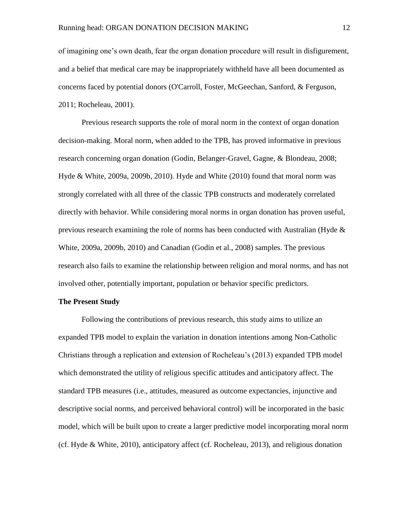of imagining one's own death, fear the organ donation procedure will result in disfigurement, and a belief that medical care may be inappropriately withheld have all been documented as concerns faced by potential donors (O'Carroll, Foster, McGeechan, Sanford, & Ferguson, 2011; Rocheleau, 2001).

Previous research supports the role of moral norm in the context of organ donation decision-making. Moral norm, when added to the TPB, has proved informative in previous research concerning organ donation (Godin, Belanger-Gravel, Gagne, & Blondeau, 2008; Hyde & White, 2009a, 2009b, 2010). Hyde and White (2010) found that moral norm was strongly correlated with all three of the classic TPB constructs and moderately correlated directly with behavior. While considering moral norms in organ donation has proven useful, previous research examining the role of norms has been conducted with Australian (Hyde & White, 2009a, 2009b, 2010) and Canadian (Godin et al., 2008) samples. The previous research also fails to examine the relationship between religion and moral norms, and has not involved other, potentially important, population or behavior specific predictors.

### **The Present Study**

Following the contributions of previous research, this study aims to utilize an expanded TPB model to explain the variation in donation intentions among Non-Catholic Christians through a replication and extension of Rocheleau's (2013) expanded TPB model which demonstrated the utility of religious specific attitudes and anticipatory affect. The standard TPB measures (i.e., attitudes, measured as outcome expectancies, injunctive and descriptive social norms, and perceived behavioral control) will be incorporated in the basic model, which will be built upon to create a larger predictive model incorporating moral norm (cf. Hyde & White, 2010), anticipatory affect (cf. Rocheleau, 2013), and religious donation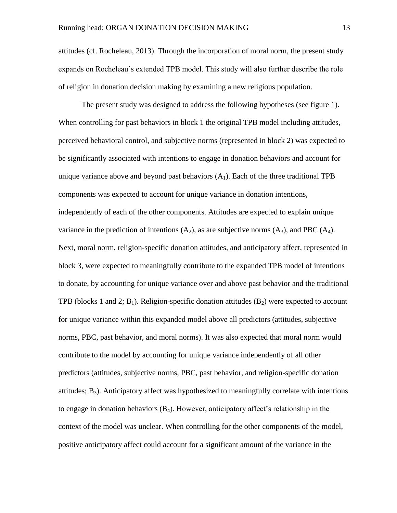attitudes (cf. Rocheleau, 2013). Through the incorporation of moral norm, the present study expands on Rocheleau's extended TPB model. This study will also further describe the role of religion in donation decision making by examining a new religious population.

The present study was designed to address the following hypotheses (see figure 1). When controlling for past behaviors in block 1 the original TPB model including attitudes, perceived behavioral control, and subjective norms (represented in block 2) was expected to be significantly associated with intentions to engage in donation behaviors and account for unique variance above and beyond past behaviors  $(A_1)$ . Each of the three traditional TPB components was expected to account for unique variance in donation intentions, independently of each of the other components. Attitudes are expected to explain unique variance in the prediction of intentions  $(A_2)$ , as are subjective norms  $(A_3)$ , and PBC  $(A_4)$ . Next, moral norm, religion-specific donation attitudes, and anticipatory affect, represented in block 3, were expected to meaningfully contribute to the expanded TPB model of intentions to donate, by accounting for unique variance over and above past behavior and the traditional TPB (blocks 1 and 2;  $B_1$ ). Religion-specific donation attitudes  $(B_2)$  were expected to account for unique variance within this expanded model above all predictors (attitudes, subjective norms, PBC, past behavior, and moral norms). It was also expected that moral norm would contribute to the model by accounting for unique variance independently of all other predictors (attitudes, subjective norms, PBC, past behavior, and religion-specific donation attitudes;  $B_3$ ). Anticipatory affect was hypothesized to meaningfully correlate with intentions to engage in donation behaviors  $(B_4)$ . However, anticipatory affect's relationship in the context of the model was unclear. When controlling for the other components of the model, positive anticipatory affect could account for a significant amount of the variance in the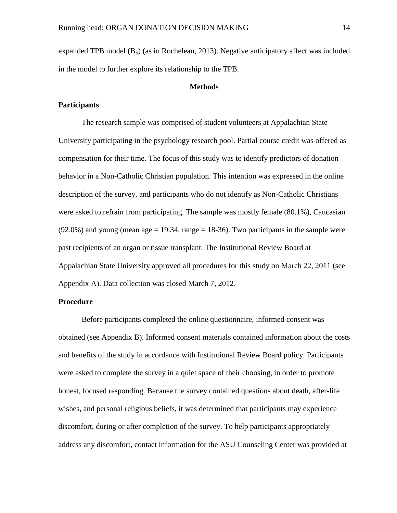expanded TPB model  $(B_5)$  (as in Rocheleau, 2013). Negative anticipatory affect was included in the model to further explore its relationship to the TPB.

### **Methods**

### **Participants**

The research sample was comprised of student volunteers at Appalachian State University participating in the psychology research pool. Partial course credit was offered as compensation for their time. The focus of this study was to identify predictors of donation behavior in a Non-Catholic Christian population. This intention was expressed in the online description of the survey, and participants who do not identify as Non-Catholic Christians were asked to refrain from participating. The sample was mostly female (80.1%), Caucasian  $(92.0\%)$  and young (mean age = 19.34, range = 18-36). Two participants in the sample were past recipients of an organ or tissue transplant. The Institutional Review Board at Appalachian State University approved all procedures for this study on March 22, 2011 (see Appendix A). Data collection was closed March 7, 2012.

### **Procedure**

Before participants completed the online questionnaire, informed consent was obtained (see Appendix B). Informed consent materials contained information about the costs and benefits of the study in accordance with Institutional Review Board policy. Participants were asked to complete the survey in a quiet space of their choosing, in order to promote honest, focused responding. Because the survey contained questions about death, after-life wishes, and personal religious beliefs, it was determined that participants may experience discomfort, during or after completion of the survey. To help participants appropriately address any discomfort, contact information for the ASU Counseling Center was provided at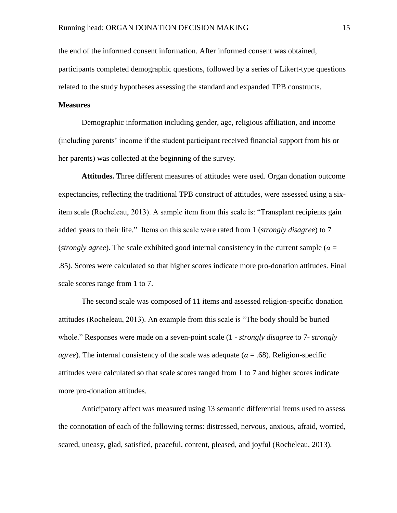the end of the informed consent information. After informed consent was obtained, participants completed demographic questions, followed by a series of Likert-type questions related to the study hypotheses assessing the standard and expanded TPB constructs.

### **Measures**

Demographic information including gender, age, religious affiliation, and income (including parents' income if the student participant received financial support from his or her parents) was collected at the beginning of the survey.

**Attitudes.** Three different measures of attitudes were used. Organ donation outcome expectancies, reflecting the traditional TPB construct of attitudes, were assessed using a sixitem scale (Rocheleau, 2013). A sample item from this scale is: "Transplant recipients gain added years to their life." Items on this scale were rated from 1 (*strongly disagree*) to 7 (*strongly agree*). The scale exhibited good internal consistency in the current sample ( $\alpha$  = .85). Scores were calculated so that higher scores indicate more pro-donation attitudes. Final scale scores range from 1 to 7.

The second scale was composed of 11 items and assessed religion-specific donation attitudes (Rocheleau, 2013). An example from this scale is "The body should be buried whole." Responses were made on a seven-point scale (1 - *strongly disagree* to 7- *strongly agree*). The internal consistency of the scale was adequate ( $\alpha$  = .68). Religion-specific attitudes were calculated so that scale scores ranged from 1 to 7 and higher scores indicate more pro-donation attitudes.

Anticipatory affect was measured using 13 semantic differential items used to assess the connotation of each of the following terms: distressed, nervous, anxious, afraid, worried, scared, uneasy, glad, satisfied, peaceful, content, pleased, and joyful (Rocheleau, 2013).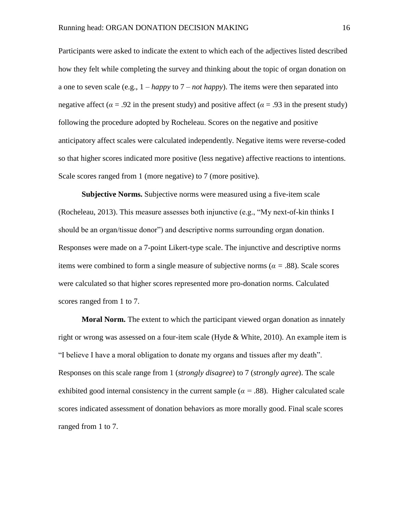Participants were asked to indicate the extent to which each of the adjectives listed described how they felt while completing the survey and thinking about the topic of organ donation on a one to seven scale (e.g., 1 – *happy* to 7 – *not happy*). The items were then separated into negative affect ( $\alpha$  = .92 in the present study) and positive affect ( $\alpha$  = .93 in the present study) following the procedure adopted by Rocheleau. Scores on the negative and positive anticipatory affect scales were calculated independently. Negative items were reverse-coded so that higher scores indicated more positive (less negative) affective reactions to intentions. Scale scores ranged from 1 (more negative) to 7 (more positive).

**Subjective Norms.** Subjective norms were measured using a five-item scale (Rocheleau, 2013). This measure assesses both injunctive (e.g., "My next-of-kin thinks I should be an organ/tissue donor") and descriptive norms surrounding organ donation. Responses were made on a 7-point Likert-type scale. The injunctive and descriptive norms items were combined to form a single measure of subjective norms ( $\alpha = .88$ ). Scale scores were calculated so that higher scores represented more pro-donation norms. Calculated scores ranged from 1 to 7.

**Moral Norm.** The extent to which the participant viewed organ donation as innately right or wrong was assessed on a four-item scale (Hyde & White, 2010). An example item is "I believe I have a moral obligation to donate my organs and tissues after my death". Responses on this scale range from 1 (*strongly disagree*) to 7 (*strongly agree*). The scale exhibited good internal consistency in the current sample ( $\alpha$  = .88). Higher calculated scale scores indicated assessment of donation behaviors as more morally good. Final scale scores ranged from 1 to 7.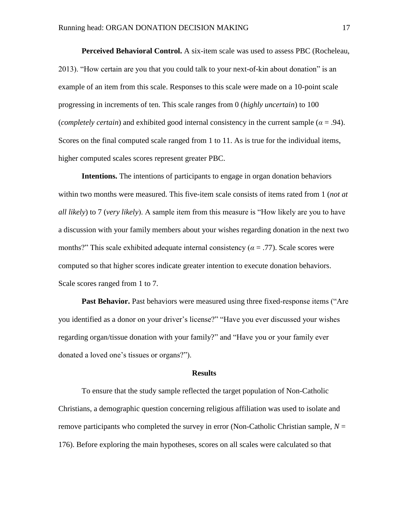**Perceived Behavioral Control.** A six-item scale was used to assess PBC (Rocheleau, 2013). "How certain are you that you could talk to your next-of-kin about donation" is an example of an item from this scale. Responses to this scale were made on a 10-point scale progressing in increments of ten. This scale ranges from 0 (*highly uncertain*) to 100 (*completely certain*) and exhibited good internal consistency in the current sample (*α* = .94). Scores on the final computed scale ranged from 1 to 11. As is true for the individual items, higher computed scales scores represent greater PBC.

**Intentions.** The intentions of participants to engage in organ donation behaviors within two months were measured. This five-item scale consists of items rated from 1 (*not at all likely*) to 7 (*very likely*). A sample item from this measure is "How likely are you to have a discussion with your family members about your wishes regarding donation in the next two months?" This scale exhibited adequate internal consistency ( $\alpha = .77$ ). Scale scores were computed so that higher scores indicate greater intention to execute donation behaviors. Scale scores ranged from 1 to 7.

**Past Behavior.** Past behaviors were measured using three fixed-response items ("Are you identified as a donor on your driver's license?" "Have you ever discussed your wishes regarding organ/tissue donation with your family?" and "Have you or your family ever donated a loved one's tissues or organs?").

#### **Results**

To ensure that the study sample reflected the target population of Non-Catholic Christians, a demographic question concerning religious affiliation was used to isolate and remove participants who completed the survey in error (Non-Catholic Christian sample,  $N =$ 176). Before exploring the main hypotheses, scores on all scales were calculated so that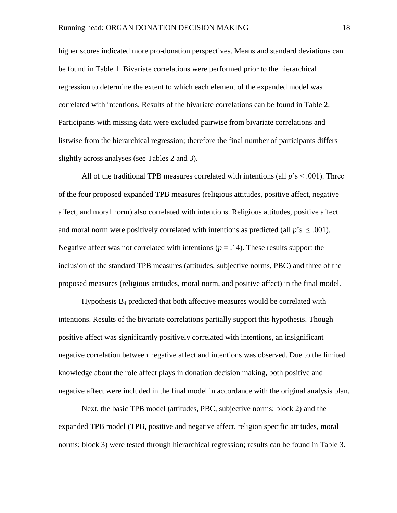higher scores indicated more pro-donation perspectives. Means and standard deviations can be found in Table 1. Bivariate correlations were performed prior to the hierarchical regression to determine the extent to which each element of the expanded model was correlated with intentions. Results of the bivariate correlations can be found in Table 2. Participants with missing data were excluded pairwise from bivariate correlations and listwise from the hierarchical regression; therefore the final number of participants differs slightly across analyses (see Tables 2 and 3).

All of the traditional TPB measures correlated with intentions (all  $p$ 's  $\leq$  .001). Three of the four proposed expanded TPB measures (religious attitudes, positive affect, negative affect, and moral norm) also correlated with intentions. Religious attitudes, positive affect and moral norm were positively correlated with intentions as predicted (all  $p$ 's  $\leq$  .001). Negative affect was not correlated with intentions ( $p = .14$ ). These results support the inclusion of the standard TPB measures (attitudes, subjective norms, PBC) and three of the proposed measures (religious attitudes, moral norm, and positive affect) in the final model.

Hypothesis  $B_4$  predicted that both affective measures would be correlated with intentions. Results of the bivariate correlations partially support this hypothesis. Though positive affect was significantly positively correlated with intentions, an insignificant negative correlation between negative affect and intentions was observed. Due to the limited knowledge about the role affect plays in donation decision making, both positive and negative affect were included in the final model in accordance with the original analysis plan.

Next, the basic TPB model (attitudes, PBC, subjective norms; block 2) and the expanded TPB model (TPB, positive and negative affect, religion specific attitudes, moral norms; block 3) were tested through hierarchical regression; results can be found in Table 3.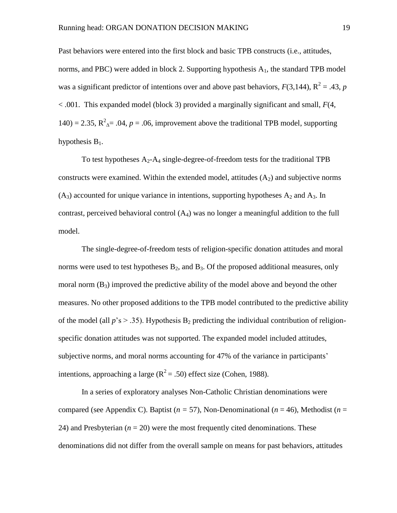Past behaviors were entered into the first block and basic TPB constructs (i.e., attitudes, norms, and PBC) were added in block 2. Supporting hypothesis  $A_1$ , the standard TPB model was a significant predictor of intentions over and above past behaviors,  $F(3,144)$ ,  $R^2 = .43$ , p < .001. This expanded model (block 3) provided a marginally significant and small, *F*(4, 140) = 2.35,  $R^2$ <sub> $\Delta$ </sub> = .04,  $p$  = .06, improvement above the traditional TPB model, supporting hypothesis  $B_1$ .

To test hypotheses  $A_2$ - $A_4$  single-degree-of-freedom tests for the traditional TPB constructs were examined. Within the extended model, attitudes  $(A_2)$  and subjective norms  $(A_3)$  accounted for unique variance in intentions, supporting hypotheses  $A_2$  and  $A_3$ . In contrast, perceived behavioral control  $(A_4)$  was no longer a meaningful addition to the full model.

The single-degree-of-freedom tests of religion-specific donation attitudes and moral norms were used to test hypotheses  $B_2$ , and  $B_3$ . Of the proposed additional measures, only moral norm  $(B_3)$  improved the predictive ability of the model above and beyond the other measures. No other proposed additions to the TPB model contributed to the predictive ability of the model (all  $p$ 's  $> .35$ ). Hypothesis B<sub>2</sub> predicting the individual contribution of religionspecific donation attitudes was not supported. The expanded model included attitudes, subjective norms, and moral norms accounting for 47% of the variance in participants' intentions, approaching a large ( $R^2 = .50$ ) effect size (Cohen, 1988).

In a series of exploratory analyses Non-Catholic Christian denominations were compared (see Appendix C). Baptist ( $n = 57$ ), Non-Denominational ( $n = 46$ ), Methodist ( $n =$ 24) and Presbyterian  $(n = 20)$  were the most frequently cited denominations. These denominations did not differ from the overall sample on means for past behaviors, attitudes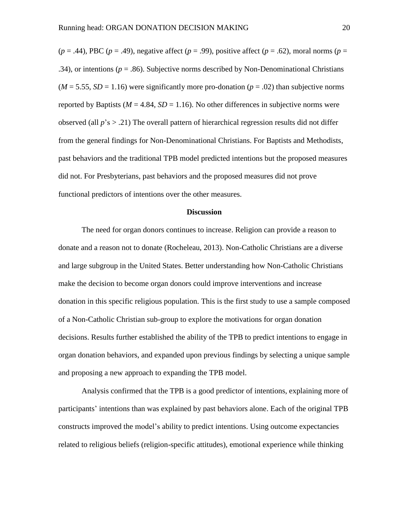$(p = .44)$ , PBC  $(p = .49)$ , negative affect  $(p = .99)$ , positive affect  $(p = .62)$ , moral norms  $(p = .44)$ .34), or intentions ( $p = .86$ ). Subjective norms described by Non-Denominational Christians  $(M = 5.55, SD = 1.16)$  were significantly more pro-donation  $(p = .02)$  than subjective norms reported by Baptists ( $M = 4.84$ ,  $SD = 1.16$ ). No other differences in subjective norms were observed (all *p*'s > .21) The overall pattern of hierarchical regression results did not differ from the general findings for Non-Denominational Christians. For Baptists and Methodists, past behaviors and the traditional TPB model predicted intentions but the proposed measures did not. For Presbyterians, past behaviors and the proposed measures did not prove functional predictors of intentions over the other measures.

#### **Discussion**

The need for organ donors continues to increase. Religion can provide a reason to donate and a reason not to donate (Rocheleau, 2013). Non-Catholic Christians are a diverse and large subgroup in the United States. Better understanding how Non-Catholic Christians make the decision to become organ donors could improve interventions and increase donation in this specific religious population. This is the first study to use a sample composed of a Non-Catholic Christian sub-group to explore the motivations for organ donation decisions. Results further established the ability of the TPB to predict intentions to engage in organ donation behaviors, and expanded upon previous findings by selecting a unique sample and proposing a new approach to expanding the TPB model.

Analysis confirmed that the TPB is a good predictor of intentions, explaining more of participants' intentions than was explained by past behaviors alone. Each of the original TPB constructs improved the model's ability to predict intentions. Using outcome expectancies related to religious beliefs (religion-specific attitudes), emotional experience while thinking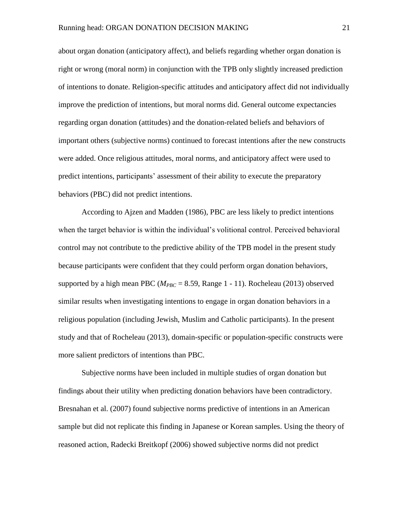about organ donation (anticipatory affect), and beliefs regarding whether organ donation is right or wrong (moral norm) in conjunction with the TPB only slightly increased prediction of intentions to donate. Religion-specific attitudes and anticipatory affect did not individually improve the prediction of intentions, but moral norms did. General outcome expectancies regarding organ donation (attitudes) and the donation-related beliefs and behaviors of important others (subjective norms) continued to forecast intentions after the new constructs were added. Once religious attitudes, moral norms, and anticipatory affect were used to predict intentions, participants' assessment of their ability to execute the preparatory behaviors (PBC) did not predict intentions.

According to Ajzen and Madden (1986), PBC are less likely to predict intentions when the target behavior is within the individual's volitional control. Perceived behavioral control may not contribute to the predictive ability of the TPB model in the present study because participants were confident that they could perform organ donation behaviors, supported by a high mean PBC ( $M_{PRC} = 8.59$ , Range 1 - 11). Rocheleau (2013) observed similar results when investigating intentions to engage in organ donation behaviors in a religious population (including Jewish, Muslim and Catholic participants). In the present study and that of Rocheleau (2013), domain-specific or population-specific constructs were more salient predictors of intentions than PBC.

Subjective norms have been included in multiple studies of organ donation but findings about their utility when predicting donation behaviors have been contradictory. Bresnahan et al. (2007) found subjective norms predictive of intentions in an American sample but did not replicate this finding in Japanese or Korean samples. Using the theory of reasoned action, Radecki Breitkopf (2006) showed subjective norms did not predict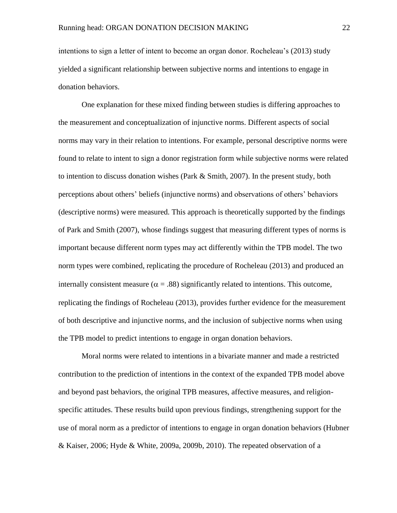intentions to sign a letter of intent to become an organ donor. Rocheleau's (2013) study yielded a significant relationship between subjective norms and intentions to engage in donation behaviors.

One explanation for these mixed finding between studies is differing approaches to the measurement and conceptualization of injunctive norms. Different aspects of social norms may vary in their relation to intentions. For example, personal descriptive norms were found to relate to intent to sign a donor registration form while subjective norms were related to intention to discuss donation wishes (Park & Smith, 2007). In the present study, both perceptions about others' beliefs (injunctive norms) and observations of others' behaviors (descriptive norms) were measured. This approach is theoretically supported by the findings of Park and Smith (2007), whose findings suggest that measuring different types of norms is important because different norm types may act differently within the TPB model. The two norm types were combined, replicating the procedure of Rocheleau (2013) and produced an internally consistent measure ( $\alpha = .88$ ) significantly related to intentions. This outcome, replicating the findings of Rocheleau (2013), provides further evidence for the measurement of both descriptive and injunctive norms, and the inclusion of subjective norms when using the TPB model to predict intentions to engage in organ donation behaviors.

Moral norms were related to intentions in a bivariate manner and made a restricted contribution to the prediction of intentions in the context of the expanded TPB model above and beyond past behaviors, the original TPB measures, affective measures, and religionspecific attitudes. These results build upon previous findings, strengthening support for the use of moral norm as a predictor of intentions to engage in organ donation behaviors (Hubner & Kaiser, 2006; Hyde & White, 2009a, 2009b, 2010). The repeated observation of a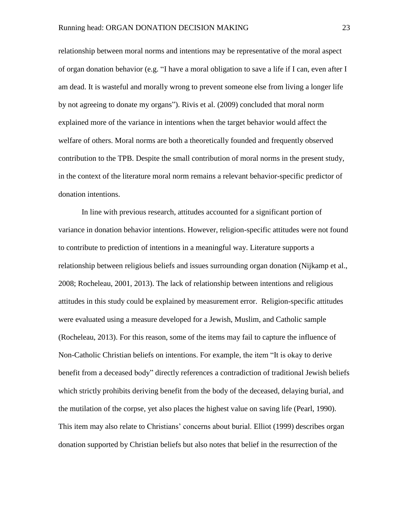relationship between moral norms and intentions may be representative of the moral aspect of organ donation behavior (e.g. "I have a moral obligation to save a life if I can, even after I am dead. It is wasteful and morally wrong to prevent someone else from living a longer life by not agreeing to donate my organs"). Rivis et al. (2009) concluded that moral norm explained more of the variance in intentions when the target behavior would affect the welfare of others. Moral norms are both a theoretically founded and frequently observed contribution to the TPB. Despite the small contribution of moral norms in the present study, in the context of the literature moral norm remains a relevant behavior-specific predictor of donation intentions.

In line with previous research, attitudes accounted for a significant portion of variance in donation behavior intentions. However, religion-specific attitudes were not found to contribute to prediction of intentions in a meaningful way. Literature supports a relationship between religious beliefs and issues surrounding organ donation (Nijkamp et al., 2008; Rocheleau, 2001, 2013). The lack of relationship between intentions and religious attitudes in this study could be explained by measurement error. Religion-specific attitudes were evaluated using a measure developed for a Jewish, Muslim, and Catholic sample (Rocheleau, 2013). For this reason, some of the items may fail to capture the influence of Non-Catholic Christian beliefs on intentions. For example, the item "It is okay to derive benefit from a deceased body" directly references a contradiction of traditional Jewish beliefs which strictly prohibits deriving benefit from the body of the deceased, delaying burial, and the mutilation of the corpse, yet also places the highest value on saving life (Pearl, 1990). This item may also relate to Christians' concerns about burial. Elliot (1999) describes organ donation supported by Christian beliefs but also notes that belief in the resurrection of the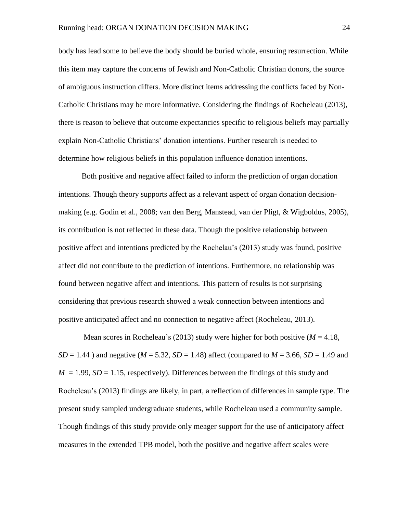body has lead some to believe the body should be buried whole, ensuring resurrection. While this item may capture the concerns of Jewish and Non-Catholic Christian donors, the source of ambiguous instruction differs. More distinct items addressing the conflicts faced by Non-Catholic Christians may be more informative. Considering the findings of Rocheleau (2013), there is reason to believe that outcome expectancies specific to religious beliefs may partially explain Non-Catholic Christians' donation intentions. Further research is needed to determine how religious beliefs in this population influence donation intentions.

Both positive and negative affect failed to inform the prediction of organ donation intentions. Though theory supports affect as a relevant aspect of organ donation decisionmaking (e.g. Godin et al., 2008; van den Berg, Manstead, van der Pligt, & Wigboldus, 2005), its contribution is not reflected in these data. Though the positive relationship between positive affect and intentions predicted by the Rochelau's (2013) study was found, positive affect did not contribute to the prediction of intentions. Furthermore, no relationship was found between negative affect and intentions. This pattern of results is not surprising considering that previous research showed a weak connection between intentions and positive anticipated affect and no connection to negative affect (Rocheleau, 2013).

Mean scores in Rocheleau's (2013) study were higher for both positive (*M* = 4.18, *SD* = 1.44 ) and negative (*M* = 5.32, *SD* = 1.48) affect (compared to *M* = 3.66, *SD* = 1.49 and  $M = 1.99$ ,  $SD = 1.15$ , respectively). Differences between the findings of this study and Rocheleau's (2013) findings are likely, in part, a reflection of differences in sample type. The present study sampled undergraduate students, while Rocheleau used a community sample. Though findings of this study provide only meager support for the use of anticipatory affect measures in the extended TPB model, both the positive and negative affect scales were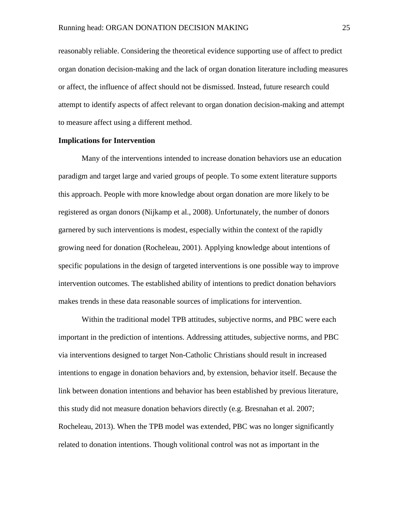reasonably reliable. Considering the theoretical evidence supporting use of affect to predict organ donation decision-making and the lack of organ donation literature including measures or affect, the influence of affect should not be dismissed. Instead, future research could attempt to identify aspects of affect relevant to organ donation decision-making and attempt to measure affect using a different method.

### **Implications for Intervention**

Many of the interventions intended to increase donation behaviors use an education paradigm and target large and varied groups of people. To some extent literature supports this approach. People with more knowledge about organ donation are more likely to be registered as organ donors (Nijkamp et al., 2008). Unfortunately, the number of donors garnered by such interventions is modest, especially within the context of the rapidly growing need for donation (Rocheleau, 2001). Applying knowledge about intentions of specific populations in the design of targeted interventions is one possible way to improve intervention outcomes. The established ability of intentions to predict donation behaviors makes trends in these data reasonable sources of implications for intervention.

Within the traditional model TPB attitudes, subjective norms, and PBC were each important in the prediction of intentions. Addressing attitudes, subjective norms, and PBC via interventions designed to target Non-Catholic Christians should result in increased intentions to engage in donation behaviors and, by extension, behavior itself. Because the link between donation intentions and behavior has been established by previous literature, this study did not measure donation behaviors directly (e.g. Bresnahan et al. 2007; Rocheleau, 2013). When the TPB model was extended, PBC was no longer significantly related to donation intentions. Though volitional control was not as important in the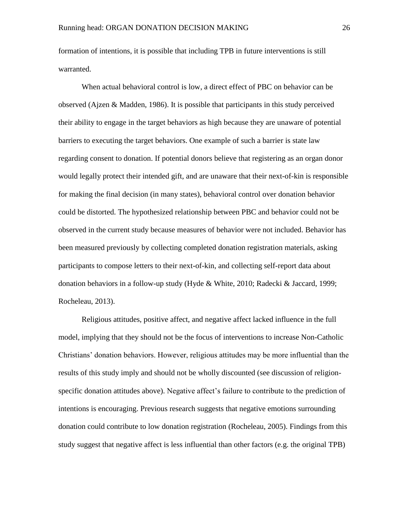formation of intentions, it is possible that including TPB in future interventions is still warranted.

When actual behavioral control is low, a direct effect of PBC on behavior can be observed (Ajzen & Madden, 1986). It is possible that participants in this study perceived their ability to engage in the target behaviors as high because they are unaware of potential barriers to executing the target behaviors. One example of such a barrier is state law regarding consent to donation. If potential donors believe that registering as an organ donor would legally protect their intended gift, and are unaware that their next-of-kin is responsible for making the final decision (in many states), behavioral control over donation behavior could be distorted. The hypothesized relationship between PBC and behavior could not be observed in the current study because measures of behavior were not included. Behavior has been measured previously by collecting completed donation registration materials, asking participants to compose letters to their next-of-kin, and collecting self-report data about donation behaviors in a follow-up study (Hyde & White, 2010; Radecki & Jaccard, 1999; Rocheleau, 2013).

Religious attitudes, positive affect, and negative affect lacked influence in the full model, implying that they should not be the focus of interventions to increase Non-Catholic Christians' donation behaviors. However, religious attitudes may be more influential than the results of this study imply and should not be wholly discounted (see discussion of religionspecific donation attitudes above). Negative affect's failure to contribute to the prediction of intentions is encouraging. Previous research suggests that negative emotions surrounding donation could contribute to low donation registration (Rocheleau, 2005). Findings from this study suggest that negative affect is less influential than other factors (e.g. the original TPB)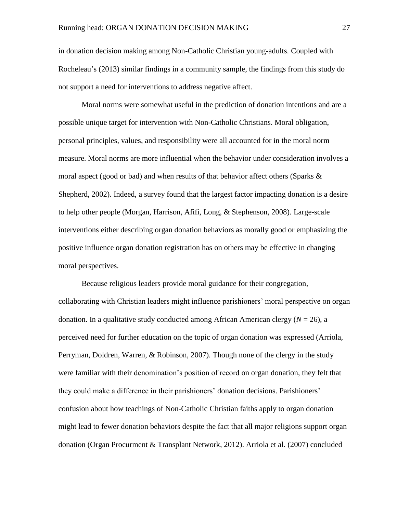in donation decision making among Non-Catholic Christian young-adults. Coupled with Rocheleau's (2013) similar findings in a community sample, the findings from this study do not support a need for interventions to address negative affect.

Moral norms were somewhat useful in the prediction of donation intentions and are a possible unique target for intervention with Non-Catholic Christians. Moral obligation, personal principles, values, and responsibility were all accounted for in the moral norm measure. Moral norms are more influential when the behavior under consideration involves a moral aspect (good or bad) and when results of that behavior affect others (Sparks  $\&$ Shepherd, 2002). Indeed, a survey found that the largest factor impacting donation is a desire to help other people (Morgan, Harrison, Afifi, Long, & Stephenson, 2008). Large-scale interventions either describing organ donation behaviors as morally good or emphasizing the positive influence organ donation registration has on others may be effective in changing moral perspectives.

Because religious leaders provide moral guidance for their congregation, collaborating with Christian leaders might influence parishioners' moral perspective on organ donation. In a qualitative study conducted among African American clergy  $(N = 26)$ , a perceived need for further education on the topic of organ donation was expressed (Arriola, Perryman, Doldren, Warren, & Robinson, 2007). Though none of the clergy in the study were familiar with their denomination's position of record on organ donation, they felt that they could make a difference in their parishioners' donation decisions. Parishioners' confusion about how teachings of Non-Catholic Christian faiths apply to organ donation might lead to fewer donation behaviors despite the fact that all major religions support organ donation (Organ Procurment & Transplant Network, 2012). Arriola et al. (2007) concluded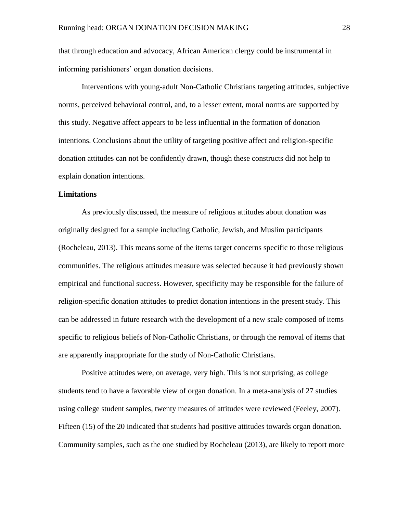that through education and advocacy, African American clergy could be instrumental in informing parishioners' organ donation decisions.

Interventions with young-adult Non-Catholic Christians targeting attitudes, subjective norms, perceived behavioral control, and, to a lesser extent, moral norms are supported by this study. Negative affect appears to be less influential in the formation of donation intentions. Conclusions about the utility of targeting positive affect and religion-specific donation attitudes can not be confidently drawn, though these constructs did not help to explain donation intentions.

### **Limitations**

As previously discussed, the measure of religious attitudes about donation was originally designed for a sample including Catholic, Jewish, and Muslim participants (Rocheleau, 2013). This means some of the items target concerns specific to those religious communities. The religious attitudes measure was selected because it had previously shown empirical and functional success. However, specificity may be responsible for the failure of religion-specific donation attitudes to predict donation intentions in the present study. This can be addressed in future research with the development of a new scale composed of items specific to religious beliefs of Non-Catholic Christians, or through the removal of items that are apparently inappropriate for the study of Non-Catholic Christians.

Positive attitudes were, on average, very high. This is not surprising, as college students tend to have a favorable view of organ donation. In a meta-analysis of 27 studies using college student samples, twenty measures of attitudes were reviewed (Feeley, 2007). Fifteen (15) of the 20 indicated that students had positive attitudes towards organ donation. Community samples, such as the one studied by Rocheleau (2013), are likely to report more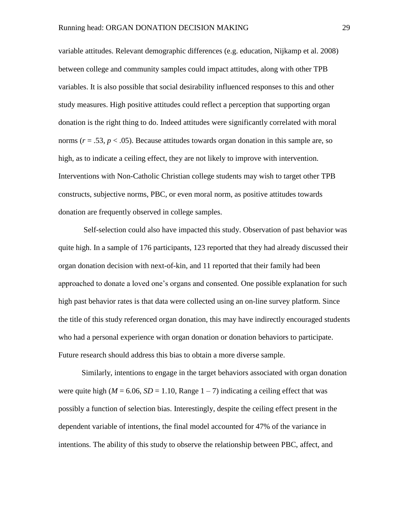variable attitudes. Relevant demographic differences (e.g. education, Nijkamp et al. 2008) between college and community samples could impact attitudes, along with other TPB variables. It is also possible that social desirability influenced responses to this and other study measures. High positive attitudes could reflect a perception that supporting organ donation is the right thing to do. Indeed attitudes were significantly correlated with moral norms  $(r = .53, p < .05)$ . Because attitudes towards organ donation in this sample are, so high, as to indicate a ceiling effect, they are not likely to improve with intervention. Interventions with Non-Catholic Christian college students may wish to target other TPB constructs, subjective norms, PBC, or even moral norm, as positive attitudes towards donation are frequently observed in college samples.

Self-selection could also have impacted this study. Observation of past behavior was quite high. In a sample of 176 participants, 123 reported that they had already discussed their organ donation decision with next-of-kin, and 11 reported that their family had been approached to donate a loved one's organs and consented. One possible explanation for such high past behavior rates is that data were collected using an on-line survey platform. Since the title of this study referenced organ donation, this may have indirectly encouraged students who had a personal experience with organ donation or donation behaviors to participate. Future research should address this bias to obtain a more diverse sample.

Similarly, intentions to engage in the target behaviors associated with organ donation were quite high ( $M = 6.06$ ,  $SD = 1.10$ , Range  $1 - 7$ ) indicating a ceiling effect that was possibly a function of selection bias. Interestingly, despite the ceiling effect present in the dependent variable of intentions, the final model accounted for 47% of the variance in intentions. The ability of this study to observe the relationship between PBC, affect, and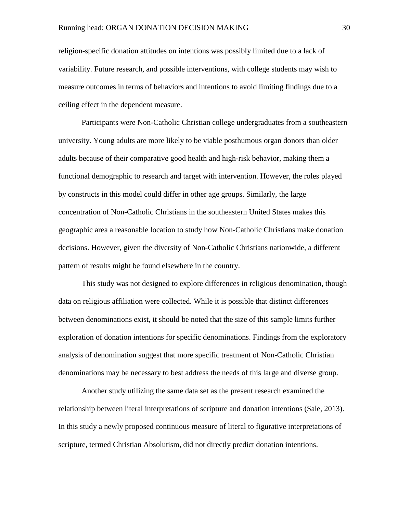religion-specific donation attitudes on intentions was possibly limited due to a lack of variability. Future research, and possible interventions, with college students may wish to measure outcomes in terms of behaviors and intentions to avoid limiting findings due to a ceiling effect in the dependent measure.

Participants were Non-Catholic Christian college undergraduates from a southeastern university. Young adults are more likely to be viable posthumous organ donors than older adults because of their comparative good health and high-risk behavior, making them a functional demographic to research and target with intervention. However, the roles played by constructs in this model could differ in other age groups. Similarly, the large concentration of Non-Catholic Christians in the southeastern United States makes this geographic area a reasonable location to study how Non-Catholic Christians make donation decisions. However, given the diversity of Non-Catholic Christians nationwide, a different pattern of results might be found elsewhere in the country.

This study was not designed to explore differences in religious denomination, though data on religious affiliation were collected. While it is possible that distinct differences between denominations exist, it should be noted that the size of this sample limits further exploration of donation intentions for specific denominations. Findings from the exploratory analysis of denomination suggest that more specific treatment of Non-Catholic Christian denominations may be necessary to best address the needs of this large and diverse group.

Another study utilizing the same data set as the present research examined the relationship between literal interpretations of scripture and donation intentions (Sale, 2013). In this study a newly proposed continuous measure of literal to figurative interpretations of scripture, termed Christian Absolutism, did not directly predict donation intentions.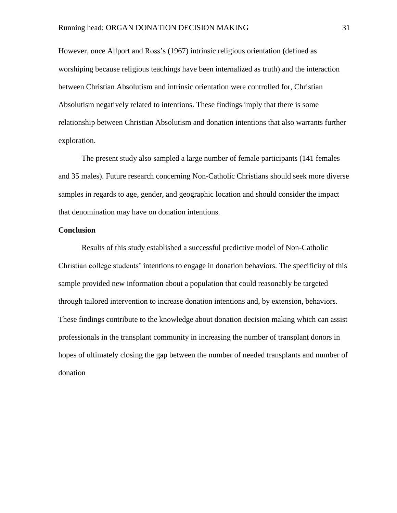However, once Allport and Ross's (1967) intrinsic religious orientation (defined as worshiping because religious teachings have been internalized as truth) and the interaction between Christian Absolutism and intrinsic orientation were controlled for, Christian Absolutism negatively related to intentions. These findings imply that there is some relationship between Christian Absolutism and donation intentions that also warrants further exploration.

The present study also sampled a large number of female participants (141 females and 35 males). Future research concerning Non-Catholic Christians should seek more diverse samples in regards to age, gender, and geographic location and should consider the impact that denomination may have on donation intentions.

### **Conclusion**

Results of this study established a successful predictive model of Non-Catholic Christian college students' intentions to engage in donation behaviors. The specificity of this sample provided new information about a population that could reasonably be targeted through tailored intervention to increase donation intentions and, by extension, behaviors. These findings contribute to the knowledge about donation decision making which can assist professionals in the transplant community in increasing the number of transplant donors in hopes of ultimately closing the gap between the number of needed transplants and number of donation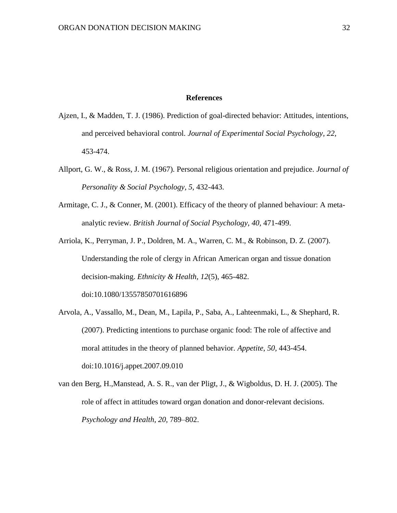### **References**

- Ajzen, I., & Madden, T. J. (1986). Prediction of goal-directed behavior: Attitudes, intentions, and perceived behavioral control. *Journal of Experimental Social Psychology, 22,* 453-474.
- Allport, G. W., & Ross, J. M. (1967). Personal religious orientation and prejudice. *Journal of Personality & Social Psychology, 5,* 432-443.
- Armitage, C. J., & Conner, M. (2001). Efficacy of the theory of planned behaviour: A metaanalytic review. *British Journal of Social Psychology*, *40,* 471-499.
- Arriola, K., Perryman, J. P., Doldren, M. A., Warren, C. M., & Robinson, D. Z. (2007). Understanding the role of clergy in African American organ and tissue donation decision-making. *Ethnicity & Health*, *12*(5)*,* 465-482. doi:10.1080/13557850701616896
- Arvola, A., Vassallo, M., Dean, M., Lapila, P., Saba, A., Lahteenmaki, L., & Shephard, R. (2007). Predicting intentions to purchase organic food: The role of affective and moral attitudes in the theory of planned behavior. *Appetite*, *50,* 443-454. doi:10.1016/j.appet.2007.09.010
- van den Berg, H.,Manstead, A. S. R., van der Pligt, J., & Wigboldus, D. H. J. (2005). The role of affect in attitudes toward organ donation and donor-relevant decisions. *Psychology and Health*, *20,* 789–802.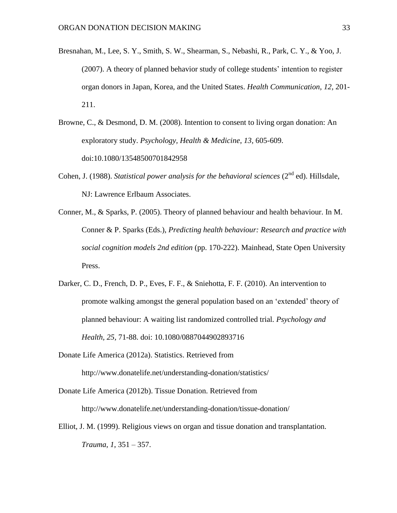- Bresnahan, M., Lee, S. Y., Smith, S. W., Shearman, S., Nebashi, R., Park, C. Y., & Yoo, J. (2007). A theory of planned behavior study of college students' intention to register organ donors in Japan, Korea, and the United States. *Health Communication*, *12,* 201- 211.
- Browne, C., & Desmond, D. M. (2008). Intention to consent to living organ donation: An exploratory study. *Psychology, Health & Medicine*, *13,* 605-609. doi:10.1080/13548500701842958
- Cohen, J. (1988). *Statistical power analysis for the behavioral sciences* (2<sup>nd</sup> ed). Hillsdale, NJ: Lawrence Erlbaum Associates.
- Conner, M., & Sparks, P. (2005). Theory of planned behaviour and health behaviour. In M. Conner & P. Sparks (Eds.), *Predicting health behaviour: Research and practice with social cognition models 2nd edition* (pp. 170-222). Mainhead, State Open University Press.
- Darker, C. D., French, D. P., Eves, F. F., & Sniehotta, F. F. (2010). An intervention to promote walking amongst the general population based on an 'extended' theory of planned behaviour: A waiting list randomized controlled trial. *Psychology and Health, 25,* 71-88. doi: 10.1080/0887044902893716
- Donate Life America (2012a). Statistics. Retrieved from http://www.donatelife.net/understanding-donation/statistics/
- Donate Life America (2012b). Tissue Donation. Retrieved from http://www.donatelife.net/understanding-donation/tissue-donation/
- Elliot, J. M. (1999). Religious views on organ and tissue donation and transplantation. *Trauma*, *1*, 351 – 357.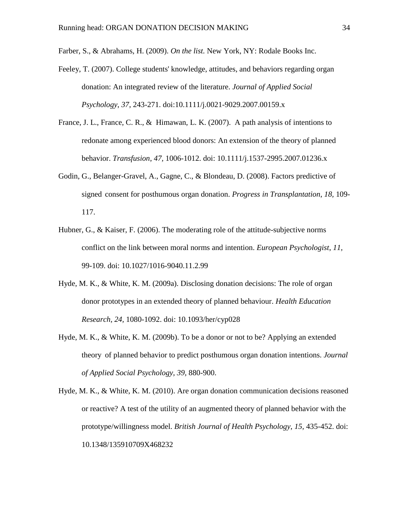Farber, S., & Abrahams, H. (2009). *On the list.* New York, NY: Rodale Books Inc.

- Feeley, T. (2007). College students' knowledge, attitudes, and behaviors regarding organ donation: An integrated review of the literature. *Journal of Applied Social Psychology*, *37*, 243-271. doi:10.1111/j.0021-9029.2007.00159.x
- France, J. L., France, C. R., & Himawan, L. K. (2007). A path analysis of intentions to redonate among experienced blood donors: An extension of the theory of planned behavior. *Transfusion*, *47,* 1006-1012. doi: 10.1111/j.1537-2995.2007.01236.x
- Godin, G., Belanger-Gravel, A., Gagne, C., & Blondeau, D. (2008). Factors predictive of signed consent for posthumous organ donation. *Progress in Transplantation*, *18,* 109- 117.
- Hubner, G., & Kaiser, F. (2006). The moderating role of the attitude-subjective norms conflict on the link between moral norms and intention. *European Psychologist*, *11,* 99-109. doi: 10.1027/1016-9040.11.2.99
- Hyde, M. K., & White, K. M. (2009a). Disclosing donation decisions: The role of organ donor prototypes in an extended theory of planned behaviour. *Health Education Research, 24,* 1080-1092. doi: 10.1093/her/cyp028
- Hyde, M. K., & White, K. M. (2009b). To be a donor or not to be? Applying an extended theory of planned behavior to predict posthumous organ donation intentions. *Journal of Applied Social Psychology, 39,* 880-900.
- Hyde, M. K., & White, K. M. (2010). Are organ donation communication decisions reasoned or reactive? A test of the utility of an augmented theory of planned behavior with the prototype/willingness model. *British Journal of Health Psychology*, *15,* 435-452. doi: 10.1348/135910709X468232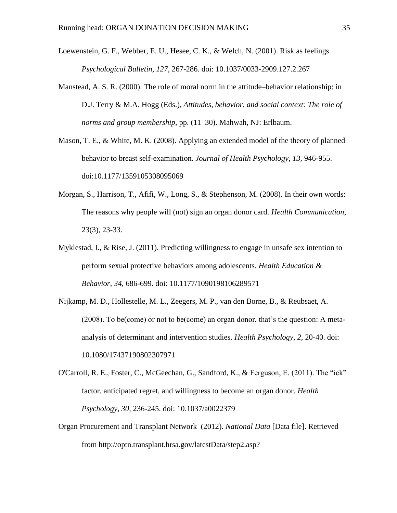- Loewenstein, G. F., Webber, E. U., Hesee, C. K., & Welch, N. (2001). Risk as feelings. *Psychological Bulletin, 127,* 267-286. doi: 10.1037/0033-2909.127.2.267
- Manstead, A. S. R. (2000). The role of moral norm in the attitude–behavior relationship: in D.J. Terry & M.A. Hogg (Eds.), *Attitudes, behavior, and social context: The role of norms and group membership*, pp. (11–30). Mahwah, NJ: Erlbaum.
- Mason, T. E., & White, M. K. (2008). Applying an extended model of the theory of planned behavior to breast self-examination. *Journal of Health Psychology, 13,* 946-955. doi:10.1177/1359105308095069
- Morgan, S., Harrison, T., Afifi, W., Long, S., & Stephenson, M. (2008). In their own words: The reasons why people will (not) sign an organ donor card. *Health Communication*, 23(3), 23-33.
- Myklestad, I., & Rise, J. (2011). Predicting willingness to engage in unsafe sex intention to perform sexual protective behaviors among adolescents. *Health Education & Behavior*, *34,* 686-699. doi: 10.1177/1090198106289571
- Nijkamp, M. D., Hollestelle, M. L., Zeegers, M. P., van den Borne, B., & Reubsaet, A. (2008). To be(come) or not to be(come) an organ donor, that's the question: A metaanalysis of determinant and intervention studies. *Health Psychology*, *2,* 20-40. doi: 10.1080/17437190802307971
- O'Carroll, R. E., Foster, C., McGeechan, G., Sandford, K., & Ferguson, E. (2011). The "ick" factor, anticipated regret, and willingness to become an organ donor. *Health Psychology*, *30,* 236-245. doi: 10.1037/a0022379
- Organ Procurement and Transplant Network (2012). *National Data* [Data file]. Retrieved from http://optn.transplant.hrsa.gov/latestData/step2.asp?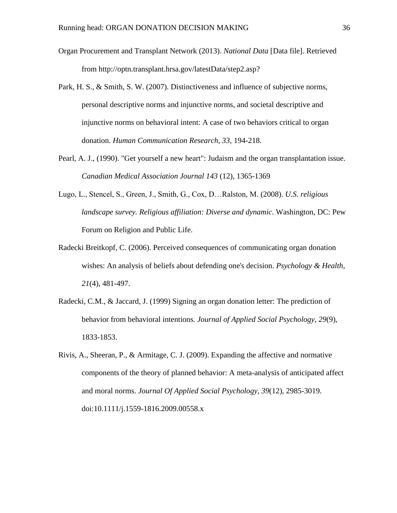- Organ Procurement and Transplant Network (2013). *National Data* [Data file]. Retrieved from http://optn.transplant.hrsa.gov/latestData/step2.asp?
- Park, H. S., & Smith, S. W. (2007). Distinctiveness and influence of subjective norms, personal descriptive norms and injunctive norms, and societal descriptive and injunctive norms on behavioral intent: A case of two behaviors critical to organ donation. *Human Communication Research, 33,* 194-218.
- Pearl, A. J., (1990). "Get yourself a new heart": Judaism and the organ transplantation issue. *Canadian Medical Association Journal 143* (12), 1365-1369
- Lugo, L., Stencel, S., Green, J., Smith, G., Cox, D…Ralston, M. (2008). *U.S. religious landscape survey. Religious affiliation: Diverse and dynamic*. Washington, DC: Pew Forum on Religion and Public Life.
- Radecki Breitkopf, C. (2006). Perceived consequences of communicating organ donation wishes: An analysis of beliefs about defending one's decision. *Psychology & Health*, *21*(4), 481-497.
- Radecki, C.M., & Jaccard, J. (1999) Signing an organ donation letter: The prediction of behavior from behavioral intentions. *Journal of Applied Social Psychology, 29*(9), 1833-1853.
- Rivis, A., Sheeran, P., & Armitage, C. J. (2009). Expanding the affective and normative components of the theory of planned behavior: A meta-analysis of anticipated affect and moral norms. *Journal Of Applied Social Psychology*, *39*(12), 2985-3019. doi:10.1111/j.1559-1816.2009.00558.x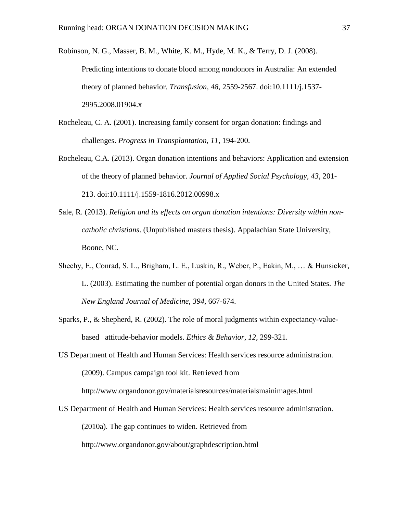Robinson, N. G., Masser, B. M., White, K. M., Hyde, M. K., & Terry, D. J. (2008). Predicting intentions to donate blood among nondonors in Australia: An extended theory of planned behavior. *Transfusion*, *48,* 2559-2567. doi:10.1111/j.1537- 2995.2008.01904.x

- Rocheleau, C. A. (2001). Increasing family consent for organ donation: findings and challenges. *Progress in Transplantation, 11,* 194-200.
- Rocheleau, C.A. (2013). Organ donation intentions and behaviors: Application and extension of the theory of planned behavior. *Journal of Applied Social Psychology, 43*, 201- 213. doi:10.1111/j.1559-1816.2012.00998.x
- Sale, R. (2013). *Religion and its effects on organ donation intentions: Diversity within noncatholic christians*. (Unpublished masters thesis). Appalachian State University, Boone, NC.
- Sheehy, E., Conrad, S. L., Brigham, L. E., Luskin, R., Weber, P., Eakin, M., … & Hunsicker, L. (2003). Estimating the number of potential organ donors in the United States. *The New England Journal of Medicine*, *394,* 667-674.
- Sparks, P., & Shepherd, R. (2002). The role of moral judgments within expectancy-valuebased attitude-behavior models. *Ethics & Behavior*, *12,* 299-321.
- US Department of Health and Human Services: Health services resource administration. (2009). Campus campaign tool kit. Retrieved from http://www.organdonor.gov/materialsresources/materialsmainimages.html
- US Department of Health and Human Services: Health services resource administration. (2010a). The gap continues to widen. Retrieved from

http://www.organdonor.gov/about/graphdescription.html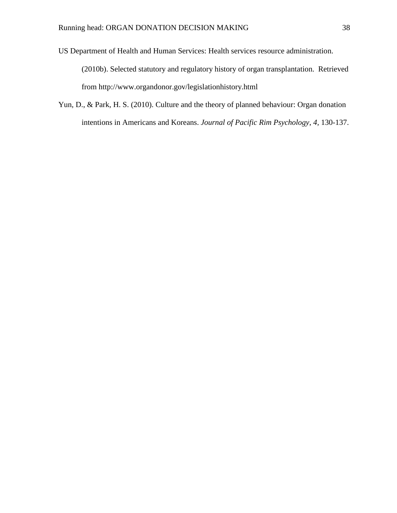US Department of Health and Human Services: Health services resource administration. (2010b). Selected statutory and regulatory history of organ transplantation. Retrieved from http://www.organdonor.gov/legislationhistory.html

Yun, D., & Park, H. S. (2010). Culture and the theory of planned behaviour: Organ donation intentions in Americans and Koreans. *Journal of Pacific Rim Psychology*, *4,* 130-137.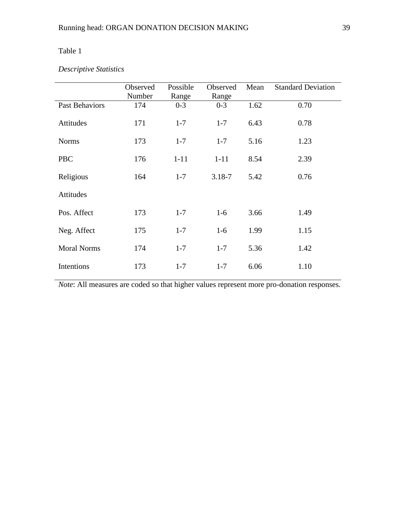# Table 1

# *Descriptive Statistics*

|                       | Observed<br>Number | Possible<br>Range | Observed<br>Range | Mean | <b>Standard Deviation</b> |
|-----------------------|--------------------|-------------------|-------------------|------|---------------------------|
| <b>Past Behaviors</b> | 174                | $0 - 3$           | $0 - 3$           | 1.62 | 0.70                      |
| Attitudes             | 171                | $1 - 7$           | $1 - 7$           | 6.43 | 0.78                      |
| <b>Norms</b>          | 173                | $1 - 7$           | $1 - 7$           | 5.16 | 1.23                      |
| <b>PBC</b>            | 176                | $1 - 11$          | $1 - 11$          | 8.54 | 2.39                      |
| Religious             | 164                | $1 - 7$           | $3.18 - 7$        | 5.42 | 0.76                      |
| Attitudes             |                    |                   |                   |      |                           |
| Pos. Affect           | 173                | $1 - 7$           | $1-6$             | 3.66 | 1.49                      |
| Neg. Affect           | 175                | $1 - 7$           | $1-6$             | 1.99 | 1.15                      |
| <b>Moral Norms</b>    | 174                | $1 - 7$           | $1 - 7$           | 5.36 | 1.42                      |
| Intentions            | 173                | $1 - 7$           | $1 - 7$           | 6.06 | 1.10                      |

*Note*: All measures are coded so that higher values represent more pro-donation responses.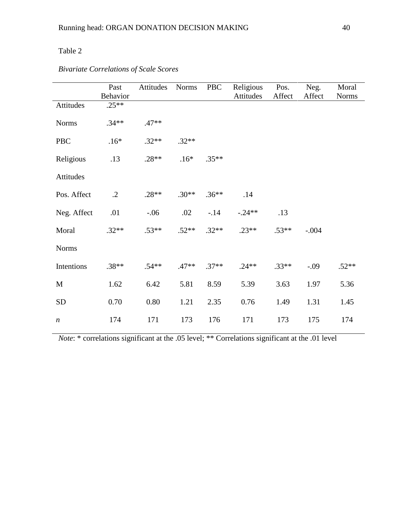# Table 2

|                  | Past       | <b>PBC</b><br>Attitudes<br><b>Norms</b> |         | Religious | Pos.      | Neg.    | Moral   |              |
|------------------|------------|-----------------------------------------|---------|-----------|-----------|---------|---------|--------------|
|                  | Behavior   |                                         |         |           | Attitudes | Affect  | Affect  | <b>Norms</b> |
| Attitudes        | $.25**$    |                                         |         |           |           |         |         |              |
| <b>Norms</b>     | $.34**$    | $.47**$                                 |         |           |           |         |         |              |
| <b>PBC</b>       | $.16*$     | $.32**$                                 | $.32**$ |           |           |         |         |              |
| Religious        | .13        | $.28**$                                 | $.16*$  | $.35**$   |           |         |         |              |
| Attitudes        |            |                                         |         |           |           |         |         |              |
| Pos. Affect      | $\cdot$ .2 | $.28**$                                 | $.30**$ | $.36***$  | .14       |         |         |              |
| Neg. Affect      | .01        | $-.06$                                  | .02     | $-14$     | $-.24**$  | .13     |         |              |
| Moral            | $.32**$    | $.53**$                                 | $.52**$ | $.32**$   | $.23**$   | $.53**$ | $-.004$ |              |
| <b>Norms</b>     |            |                                         |         |           |           |         |         |              |
| Intentions       | $.38**$    | $.54**$                                 | $.47**$ | $.37**$   | $.24**$   | $.33**$ | $-.09$  | $.52**$      |
| M                | 1.62       | 6.42                                    | 5.81    | 8.59      | 5.39      | 3.63    | 1.97    | 5.36         |
| <b>SD</b>        | 0.70       | 0.80                                    | 1.21    | 2.35      | 0.76      | 1.49    | 1.31    | 1.45         |
| $\boldsymbol{n}$ | 174        | 171                                     | 173     | 176       | 171       | 173     | 175     | 174          |

# *Bivariate Correlations of Scale Scores*

*Note*: \* correlations significant at the .05 level; \*\* Correlations significant at the .01 level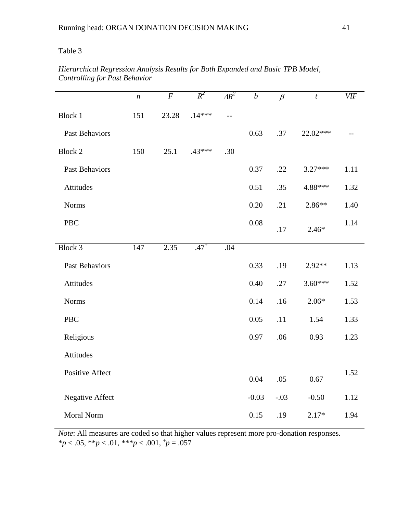### Table 3

# *Hierarchical Regression Analysis Results for Both Expanded and Basic TPB Model, Controlling for Past Behavior*

|                        | $\boldsymbol{n}$ | $\cal F$ | $R^2$    | $\Delta R^2$ | $\boldsymbol{b}$ | $\beta$ | $\boldsymbol{t}$ | <b>VIF</b> |
|------------------------|------------------|----------|----------|--------------|------------------|---------|------------------|------------|
| <b>Block 1</b>         | 151              | 23.28    | $.14***$ | $-$          |                  |         |                  |            |
| Past Behaviors         |                  |          |          |              | 0.63             | .37     | 22.02***         |            |
| <b>Block 2</b>         | 150              | 25.1     | $.43***$ | .30          |                  |         |                  |            |
| Past Behaviors         |                  |          |          |              | 0.37             | .22     | $3.27***$        | 1.11       |
| Attitudes              |                  |          |          |              | 0.51             | .35     | 4.88***          | 1.32       |
| <b>Norms</b>           |                  |          |          |              | 0.20             | .21     | 2.86**           | 1.40       |
| <b>PBC</b>             |                  |          |          |              | 0.08             | .17     | $2.46*$          | 1.14       |
| Block 3                | 147              | 2.35     | $.47^+$  | .04          |                  |         |                  |            |
| Past Behaviors         |                  |          |          |              | 0.33             | .19     | 2.92**           | 1.13       |
| Attitudes              |                  |          |          |              | 0.40             | .27     | $3.60***$        | 1.52       |
| <b>Norms</b>           |                  |          |          |              | 0.14             | .16     | $2.06*$          | 1.53       |
| PBC                    |                  |          |          |              | 0.05             | .11     | 1.54             | 1.33       |
| Religious              |                  |          |          |              | 0.97             | .06     | 0.93             | 1.23       |
| Attitudes              |                  |          |          |              |                  |         |                  |            |
| <b>Positive Affect</b> |                  |          |          |              | 0.04             | .05     | 0.67             | 1.52       |
| <b>Negative Affect</b> |                  |          |          |              | $-0.03$          | $-.03$  | $-0.50$          | 1.12       |
| Moral Norm             |                  |          |          |              | 0.15             | .19     | $2.17*$          | 1.94       |

*Note*: All measures are coded so that higher values represent more pro-donation responses.  $**p* < .05, ***p* < .01, ****p* < .001, **p* = .057$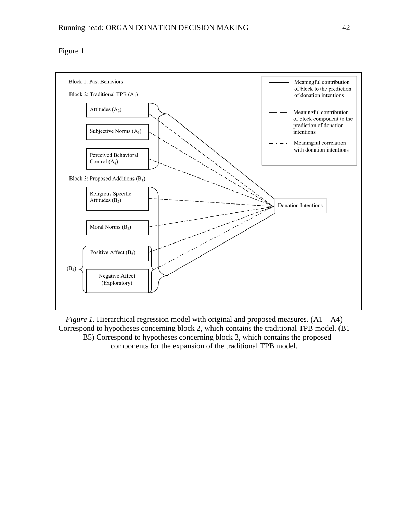## Figure 1



*Figure 1*. Hierarchical regression model with original and proposed measures.  $(A1 - A4)$ Correspond to hypotheses concerning block 2, which contains the traditional TPB model. (B1 – B5) Correspond to hypotheses concerning block 3, which contains the proposed components for the expansion of the traditional TPB model.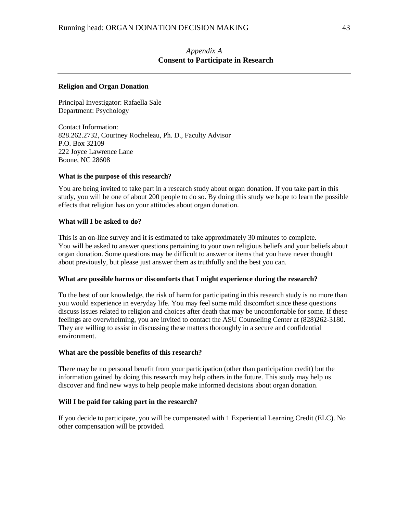### *Appendix A* **Consent to Participate in Research**

### **Religion and Organ Donation**

Principal Investigator: Rafaella Sale Department: Psychology

Contact Information: 828.262.2732, Courtney Rocheleau, Ph. D., Faculty Advisor P.O. Box 32109 222 Joyce Lawrence Lane Boone, NC 28608

### **What is the purpose of this research?**

You are being invited to take part in a research study about organ donation. If you take part in this study, you will be one of about 200 people to do so. By doing this study we hope to learn the possible effects that religion has on your attitudes about organ donation.

### **What will I be asked to do?**

This is an on-line survey and it is estimated to take approximately 30 minutes to complete. You will be asked to answer questions pertaining to your own religious beliefs and your beliefs about organ donation. Some questions may be difficult to answer or items that you have never thought about previously, but please just answer them as truthfully and the best you can.

#### **What are possible harms or discomforts that I might experience during the research?**

To the best of our knowledge, the risk of harm for participating in this research study is no more than you would experience in everyday life. You may feel some mild discomfort since these questions discuss issues related to religion and choices after death that may be uncomfortable for some. If these feelings are overwhelming, you are invited to contact the ASU Counseling Center at (828)262-3180. They are willing to assist in discussing these matters thoroughly in a secure and confidential environment.

#### **What are the possible benefits of this research?**

There may be no personal benefit from your participation (other than participation credit) but the information gained by doing this research may help others in the future. This study may help us discover and find new ways to help people make informed decisions about organ donation.

#### **Will I be paid for taking part in the research?**

If you decide to participate, you will be compensated with 1 Experiential Learning Credit (ELC). No other compensation will be provided.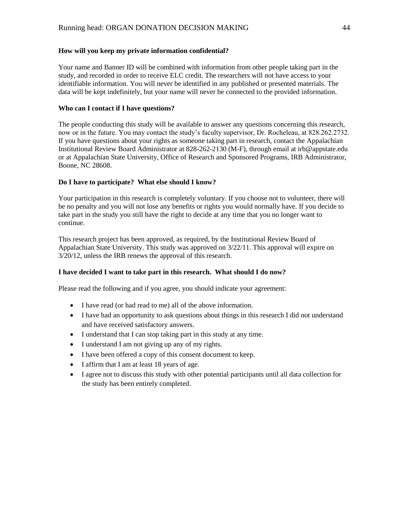### **How will you keep my private information confidential?**

Your name and Banner ID will be combined with information from other people taking part in the study, and recorded in order to receive ELC credit. The researchers will not have access to your identifiable information. You will never be identified in any published or presented materials. The data will be kept indefinitely, but your name will never be connected to the provided information.

### **Who can I contact if I have questions?**

The people conducting this study will be available to answer any questions concerning this research, now or in the future. You may contact the study's faculty supervisor, Dr. Rocheleau, at 828.262.2732. If you have questions about your rights as someone taking part in research, contact the Appalachian Institutional Review Board Administrator at 828-262-2130 (M-F), through email at irb@appstate.edu or at Appalachian State University, Office of Research and Sponsored Programs, IRB Administrator, Boone, NC 28608.

### **Do I have to participate? What else should I know?**

Your participation in this research is completely voluntary. If you choose not to volunteer, there will be no penalty and you will not lose any benefits or rights you would normally have. If you decide to take part in the study you still have the right to decide at any time that you no longer want to continue.

This research project has been approved, as required, by the Institutional Review Board of Appalachian State University. This study was approved on 3/22/11. This approval will expire on 3/20/12, unless the IRB renews the approval of this research.

#### **I have decided I want to take part in this research. What should I do now?**

Please read the following and if you agree, you should indicate your agreement:

- I have read (or had read to me) all of the above information.
- I have had an opportunity to ask questions about things in this research I did not understand and have received satisfactory answers.
- I understand that I can stop taking part in this study at any time.
- I understand I am not giving up any of my rights.
- I have been offered a copy of this consent document to keep.
- I affirm that I am at least 18 years of age.
- I agree not to discuss this study with other potential participants until all data collection for the study has been entirely completed.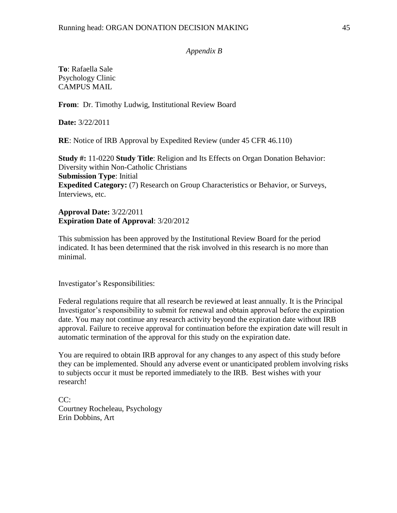### *Appendix B*

**To**: Rafaella Sale Psychology Clinic CAMPUS MAIL

**From**: Dr. Timothy Ludwig, Institutional Review Board

**Date:** 3/22/2011

**RE**: Notice of IRB Approval by Expedited Review (under 45 CFR 46.110)

**Study #:** 11-0220 **Study Title**: Religion and Its Effects on Organ Donation Behavior: Diversity within Non-Catholic Christians **Submission Type**: Initial **Expedited Category:** (7) Research on Group Characteristics or Behavior, or Surveys, Interviews, etc.

**Approval Date:** 3/22/2011 **Expiration Date of Approval**: 3/20/2012

This submission has been approved by the Institutional Review Board for the period indicated. It has been determined that the risk involved in this research is no more than minimal.

Investigator's Responsibilities:

Federal regulations require that all research be reviewed at least annually. It is the Principal Investigator's responsibility to submit for renewal and obtain approval before the expiration date. You may not continue any research activity beyond the expiration date without IRB approval. Failure to receive approval for continuation before the expiration date will result in automatic termination of the approval for this study on the expiration date.

You are required to obtain IRB approval for any changes to any aspect of this study before they can be implemented. Should any adverse event or unanticipated problem involving risks to subjects occur it must be reported immediately to the IRB. Best wishes with your research!

 $CC:$ Courtney Rocheleau, Psychology Erin Dobbins, Art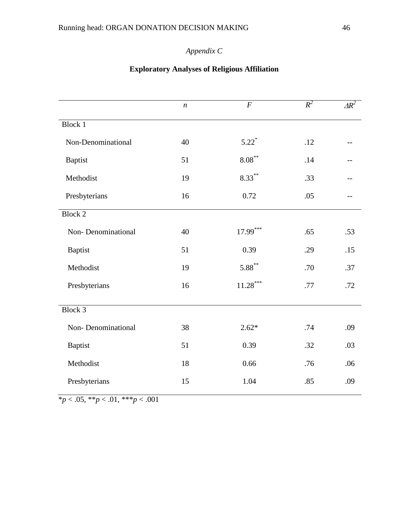# *Appendix C*

# *n F R*  $R^2$  $AR^2$ Block 1 Non-Denominational 40 5.22<sup>\*</sup>  $.12$  --Baptist 51 8.08<sup>\*\*</sup> .14 --Methodist 19 8.33<sup>\*\*</sup> .33 --Presbyterians 16 0.72 .05 --Block 2 Non- Denominational 40 17.99<sup>\*\*\*</sup> .65 .53 Baptist 51 0.39 .29 .15 Methodist 19 5.88<sup>\*\*</sup> .70 .37 Presbyterians 16 11.28<sup>\*\*\*</sup> .77 .72 Block 3 Non- Denominational 38 2.62\* .74 .09 Baptist 51 0.39 .32 .03 Methodist 18 0.66 .76 .06 Presbyterians 15 1.04 .85 .09

## **Exploratory Analyses of Religious Affiliation**

\**p* < .05, \*\**p* < .01, \*\*\**p* < .001